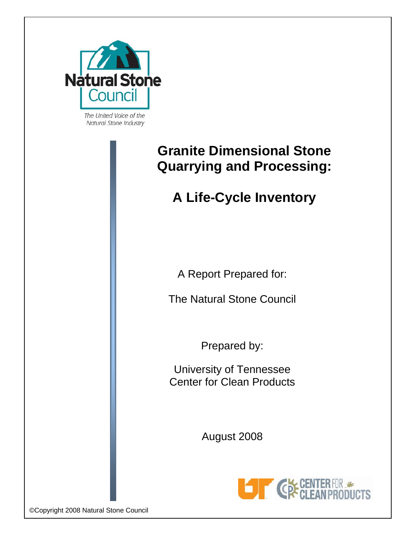

The United Voice of the Natural Stone Industry

# **Granite Dimensional Stone Quarrying and Processing:**

# **A Life-Cycle Inventory**

A Report Prepared for:

The Natural Stone Council

Prepared by:

University of Tennessee Center for Clean Products

August 2008



©Copyright 2008 Natural Stone Council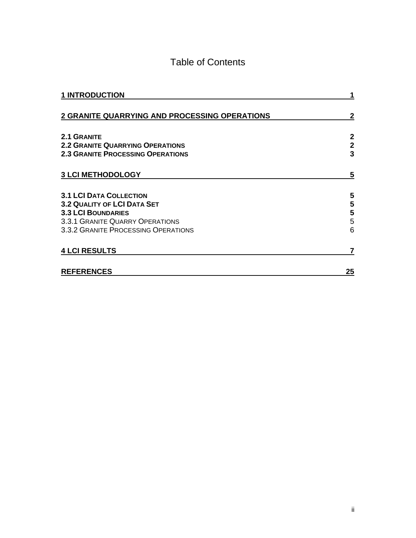### Table of Contents

| <b>1 INTRODUCTION</b>                                                  |                   |
|------------------------------------------------------------------------|-------------------|
| <b>2 GRANITE QUARRYING AND PROCESSING OPERATIONS</b>                   | 2                 |
| 2.1 GRANITE<br><b>2.2 GRANITE QUARRYING OPERATIONS</b>                 | 2<br>$\mathbf{2}$ |
| <b>2.3 GRANITE PROCESSING OPERATIONS</b>                               | 3                 |
| <b>3 LCI METHODOLOGY</b>                                               | 5                 |
| <b>3.1 LCI DATA COLLECTION</b>                                         | 5                 |
| <b>3.2 QUALITY OF LCI DATA SET</b><br><b>3.3 LCI BOUNDARIES</b>        | 5<br>5            |
| 3.3.1 GRANITE QUARRY OPERATIONS<br>3.3.2 GRANITE PROCESSING OPERATIONS | 5<br>6            |
| <b>4 LCI RESULTS</b>                                                   | 7                 |
| <b>REFERENCES</b>                                                      | 25                |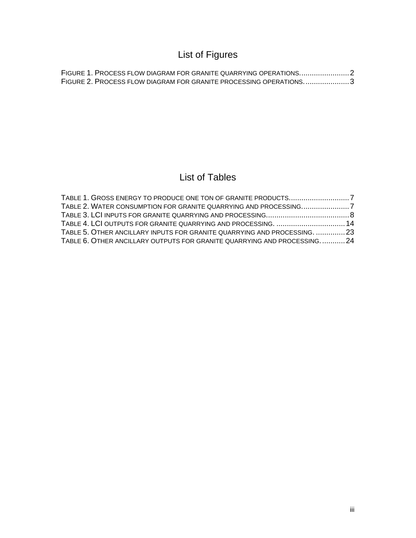## List of Figures

| FIGURE 2. PROCESS FLOW DIAGRAM FOR GRANITE PROCESSING OPERATIONS3 |  |
|-------------------------------------------------------------------|--|

### List of Tables

| TABLE 5. OTHER ANCILLARY INPUTS FOR GRANITE QUARRYING AND PROCESSING.  23 |  |
|---------------------------------------------------------------------------|--|
| TABLE 6. OTHER ANCILLARY OUTPUTS FOR GRANITE QUARRYING AND PROCESSING 24  |  |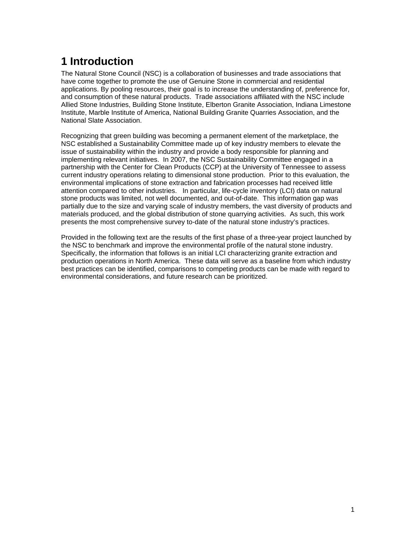## <span id="page-3-1"></span><span id="page-3-0"></span>**1 Introduction**

The Natural Stone Council (NSC) is a collaboration of businesses and trade associations that have come together to promote the use of Genuine Stone in commercial and residential applications. By pooling resources, their goal is to increase the understanding of, preference for, and consumption of these natural products. Trade associations affiliated with the NSC include Allied Stone Industries, Building Stone Institute, Elberton Granite Association, Indiana Limestone Institute, Marble Institute of America, National Building Granite Quarries Association, and the National Slate Association.

Recognizing that green building was becoming a permanent element of the marketplace, the NSC established a Sustainability Committee made up of key industry members to elevate the issue of sustainability within the industry and provide a body responsible for planning and implementing relevant initiatives. In 2007, the NSC Sustainability Committee engaged in a partnership with the Center for Clean Products (CCP) at the University of Tennessee to assess current industry operations relating to dimensional stone production. Prior to this evaluation, the environmental implications of stone extraction and fabrication processes had received little attention compared to other industries. In particular, life-cycle inventory (LCI) data on natural stone products was limited, not well documented, and out-of-date. This information gap was partially due to the size and varying scale of industry members, the vast diversity of products and materials produced, and the global distribution of stone quarrying activities. As such, this work presents the most comprehensive survey to-date of the natural stone industry's practices.

Provided in the following text are the results of the first phase of a three-year project launched by the NSC to benchmark and improve the environmental profile of the natural stone industry. Specifically, the information that follows is an initial LCI characterizing granite extraction and production operations in North America. These data will serve as a baseline from which industry best practices can be identified, comparisons to competing products can be made with regard to environmental considerations, and future research can be prioritized.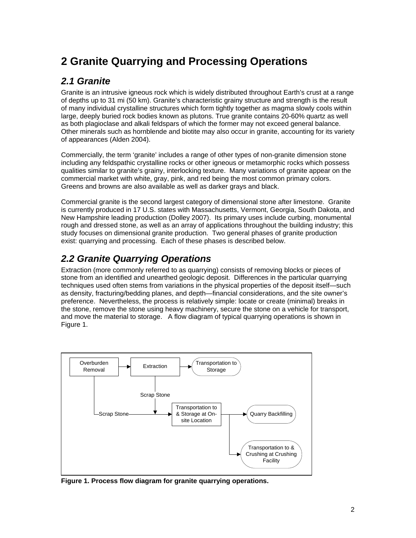## <span id="page-4-1"></span><span id="page-4-0"></span>**2 Granite Quarrying and Processing Operations**

#### <span id="page-4-2"></span>*2.1 Granite*

Granite is an intrusive igneous rock which is widely distributed throughout Earth's crust at a range of depths up to 31 mi (50 km). Granite's characteristic grainy structure and strength is the result of many individual crystalline structures which form tightly together as magma slowly cools within large, deeply buried rock bodies known as plutons. True granite contains 20-60% quartz as well as both plagioclase and alkali feldspars of which the former may not exceed general balance. Other minerals such as [hornblende](http://geology.about.com/library/bl/images/blhornblende.htm) and [biotite](http://geology.about.com/library/bl/images/blbiotite.htm) may also occur in granite, accounting for its variety of appearances (Alden 2004).

Commercially, the term 'granite' includes a range of other types of non-granite dimension stone including any feldspathic crystalline rocks or other igneous or metamorphic rocks which possess qualities similar to granite's grainy, interlocking texture. Many variations of granite appear on the commercial market with white, gray, pink, and red being the most common primary colors. Greens and browns are also available as well as darker grays and black.

Commercial granite is the second largest category of dimensional stone after limestone. Granite is currently produced in 17 U.S. states with Massachusetts, Vermont, Georgia, South Dakota, and New Hampshire leading production (Dolley 2007). Its primary uses include curbing, monumental rough and dressed stone, as well as an array of applications throughout the building industry; this study focuses on dimensional granite production. Two general phases of granite production exist: quarrying and processing. Each of these phases is described below.

#### <span id="page-4-3"></span>*2.2 Granite Quarrying Operations*

Extraction (more commonly referred to as quarrying) consists of removing blocks or pieces of stone from an identified and unearthed geologic deposit. Differences in the particular quarrying techniques used often stems from variations in the physical properties of the deposit itself—such as density, fracturing/bedding planes, and depth—financial considerations, and the site owner's preference. Nevertheless, the process is relatively simple: locate or create (minimal) breaks in the stone, remove the stone using heavy machinery, secure the stone on a vehicle for transport, and move the material to storage. A flow diagram of typical quarrying operations is shown in Figure 1.



<span id="page-4-4"></span>**Figure 1. Process flow diagram for granite quarrying operations.**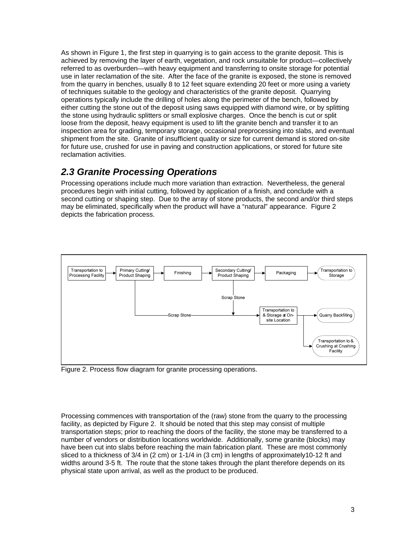<span id="page-5-0"></span>As shown in Figure 1, the first step in quarrying is to gain access to the granite deposit. This is achieved by removing the layer of earth, vegetation, and rock unsuitable for product—collectively referred to as overburden—with heavy equipment and transferring to onsite storage for potential use in later reclamation of the site. After the face of the granite is exposed, the stone is removed from the quarry in benches, usually 8 to 12 feet square extending 20 feet or more using a variety of techniques suitable to the geology and characteristics of the granite deposit. Quarrying operations typically include the drilling of holes along the perimeter of the bench, followed by either cutting the stone out of the deposit using saws equipped with diamond wire, or by splitting the stone using hydraulic splitters or small explosive charges. Once the bench is cut or split loose from the deposit, heavy equipment is used to lift the granite bench and transfer it to an inspection area for grading, temporary storage, occasional preprocessing into slabs, and eventual shipment from the site. Granite of insufficient quality or size for current demand is stored on-site for future use, crushed for use in paving and construction applications, or stored for future site reclamation activities.

#### <span id="page-5-1"></span>*2.3 Granite Processing Operations*

Processing operations include much more variation than extraction. Nevertheless, the general procedures begin with initial cutting, followed by application of a finish, and conclude with a second cutting or shaping step. Due to the array of stone products, the second and/or third steps may be eliminated, specifically when the product will have a "natural" appearance. Figure 2 depicts the fabrication process.



<span id="page-5-2"></span>Figure 2. Process flow diagram for granite processing operations.

Processing commences with transportation of the (raw) stone from the quarry to the processing facility, as depicted by Figure 2. It should be noted that this step may consist of multiple transportation steps; prior to reaching the doors of the facility, the stone may be transferred to a number of vendors or distribution locations worldwide. Additionally, some granite (blocks) may have been cut into slabs before reaching the main fabrication plant. These are most commonly sliced to a thickness of 3/4 in (2 cm) or 1-1/4 in (3 cm) in lengths of approximately10-12 ft and widths around 3-5 ft. The route that the stone takes through the plant therefore depends on its physical state upon arrival, as well as the product to be produced.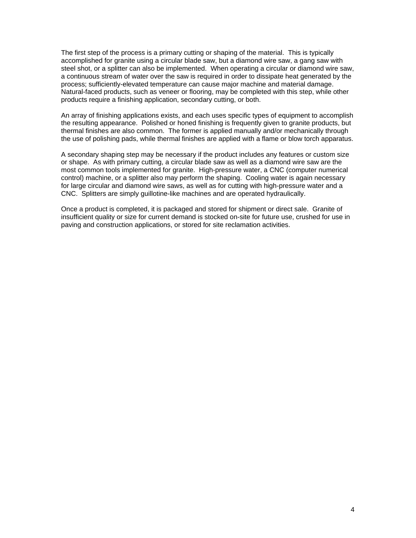The first step of the process is a primary cutting or shaping of the material. This is typically accomplished for granite using a circular blade saw, but a diamond wire saw, a gang saw with steel shot, or a splitter can also be implemented. When operating a circular or diamond wire saw, a continuous stream of water over the saw is required in order to dissipate heat generated by the process; sufficiently-elevated temperature can cause major machine and material damage. Natural-faced products, such as veneer or flooring, may be completed with this step, while other products require a finishing application, secondary cutting, or both.

An array of finishing applications exists, and each uses specific types of equipment to accomplish the resulting appearance. Polished or honed finishing is frequently given to granite products, but thermal finishes are also common. The former is applied manually and/or mechanically through the use of polishing pads, while thermal finishes are applied with a flame or blow torch apparatus.

A secondary shaping step may be necessary if the product includes any features or custom size or shape. As with primary cutting, a circular blade saw as well as a diamond wire saw are the most common tools implemented for granite. High-pressure water, a CNC (computer numerical control) machine, or a splitter also may perform the shaping. Cooling water is again necessary for large circular and diamond wire saws, as well as for cutting with high-pressure water and a CNC. Splitters are simply guillotine-like machines and are operated hydraulically.

Once a product is completed, it is packaged and stored for shipment or direct sale. Granite of insufficient quality or size for current demand is stocked on-site for future use, crushed for use in paving and construction applications, or stored for site reclamation activities.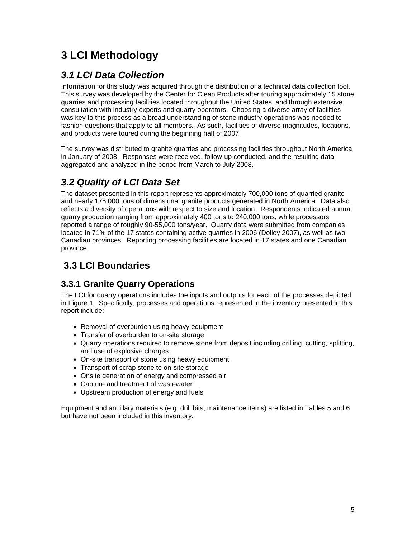## <span id="page-7-1"></span><span id="page-7-0"></span>**3 LCI Methodology**

#### <span id="page-7-2"></span>*3.1 LCI Data Collection*

Information for this study was acquired through the distribution of a technical data collection tool. This survey was developed by the Center for Clean Products after touring approximately 15 stone quarries and processing facilities located throughout the United States, and through extensive consultation with industry experts and quarry operators. Choosing a diverse array of facilities was key to this process as a broad understanding of stone industry operations was needed to fashion questions that apply to all members. As such, facilities of diverse magnitudes, locations, and products were toured during the beginning half of 2007.

The survey was distributed to granite quarries and processing facilities throughout North America in January of 2008. Responses were received, follow-up conducted, and the resulting data aggregated and analyzed in the period from March to July 2008.

### <span id="page-7-3"></span>*3.2 Quality of LCI Data Set*

The dataset presented in this report represents approximately 700,000 tons of quarried granite and nearly 175,000 tons of dimensional granite products generated in North America. Data also reflects a diversity of operations with respect to size and location. Respondents indicated annual quarry production ranging from approximately 400 tons to 240,000 tons, while processors reported a range of roughly 90-55,000 tons/year. Quarry data were submitted from companies located in 71% of the 17 states containing active quarries in 2006 (Dolley 2007), as well as two Canadian provinces. Reporting processing facilities are located in 17 states and one Canadian province.

### <span id="page-7-4"></span> **3.3 LCI Boundaries**

#### <span id="page-7-5"></span>**3.3.1 Granite Quarry Operations**

The LCI for quarry operations includes the inputs and outputs for each of the processes depicted in Figure 1. Specifically, processes and operations represented in the inventory presented in this report include:

- Removal of overburden using heavy equipment
- Transfer of overburden to on-site storage
- Quarry operations required to remove stone from deposit including drilling, cutting, splitting, and use of explosive charges.
- On-site transport of stone using heavy equipment.
- Transport of scrap stone to on-site storage
- Onsite generation of energy and compressed air
- Capture and treatment of wastewater
- Upstream production of energy and fuels

Equipment and ancillary materials (e.g. drill bits, maintenance items) are listed in Tables 5 and 6 but have not been included in this inventory.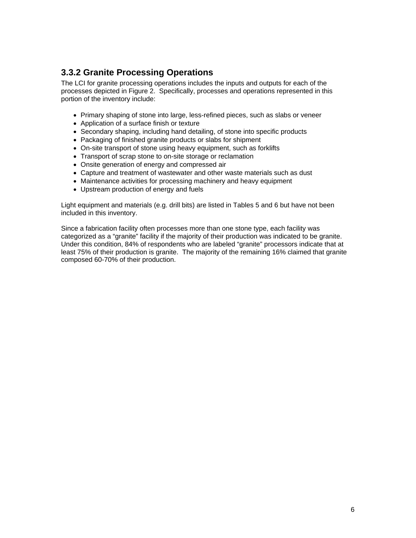#### <span id="page-8-1"></span><span id="page-8-0"></span>**3.3.2 Granite Processing Operations**

The LCI for granite processing operations includes the inputs and outputs for each of the processes depicted in Figure 2. Specifically, processes and operations represented in this portion of the inventory include:

- Primary shaping of stone into large, less-refined pieces, such as slabs or veneer
- Application of a surface finish or texture
- Secondary shaping, including hand detailing, of stone into specific products
- Packaging of finished granite products or slabs for shipment
- On-site transport of stone using heavy equipment, such as forklifts
- Transport of scrap stone to on-site storage or reclamation
- Onsite generation of energy and compressed air
- Capture and treatment of wastewater and other waste materials such as dust
- Maintenance activities for processing machinery and heavy equipment
- Upstream production of energy and fuels

Light equipment and materials (e.g. drill bits) are listed in Tables 5 and 6 but have not been included in this inventory.

Since a fabrication facility often processes more than one stone type, each facility was categorized as a "granite" facility if the majority of their production was indicated to be granite. Under this condition, 84% of respondents who are labeled "granite" processors indicate that at least 75% of their production is granite. The majority of the remaining 16% claimed that granite composed 60-70% of their production.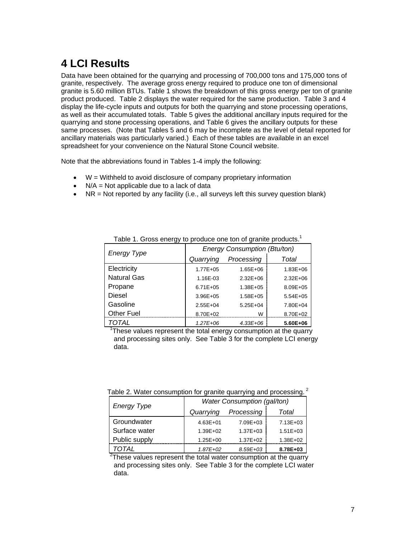## <span id="page-9-1"></span><span id="page-9-0"></span>**4 LCI Results**

Data have been obtained for the quarrying and processing of 700,000 tons and 175,000 tons of granite, respectively. The average gross energy required to produce one ton of dimensional granite is 5.60 million BTUs. Table 1 shows the breakdown of this gross energy per ton of granite product produced. Table 2 displays the water required for the same production. Table 3 and 4 display the life-cycle inputs and outputs for both the quarrying and stone processing operations, as well as their accumulated totals. Table 5 gives the additional ancillary inputs required for the quarrying and stone processing operations, and Table 6 gives the ancillary outputs for these same processes. (Note that Tables 5 and 6 may be incomplete as the level of detail reported for ancillary materials was particularly varied.) Each of these tables are available in an excel spreadsheet for your convenience on the Natural Stone Council website.

Note that the abbreviations found in Tables 1-4 imply the following:

- W = Withheld to avoid disclosure of company proprietary information
- $\bullet$  N/A = Not applicable due to a lack of data
- <span id="page-9-2"></span>•  $NR = Not$  reported by any facility (i.e., all surveys left this survey question blank)

| ັ                  |                                     |               |              |  |  |  |
|--------------------|-------------------------------------|---------------|--------------|--|--|--|
| <b>Energy Type</b> | <b>Energy Consumption (Btu/ton)</b> |               |              |  |  |  |
|                    | Quarrying                           | Processing    | Total        |  |  |  |
| Electricity        | $1.77E + 05$                        | $1.65E + 06$  | $1.83E + 06$ |  |  |  |
| <b>Natural Gas</b> | 1.16E-03                            | $2.32E + 06$  | $2.32E + 06$ |  |  |  |
| Propane            | $6.71E + 05$                        | $1.38E + 0.5$ | $8.09E + 05$ |  |  |  |
| Diesel             | $3.96E + 05$                        | $1.58E + 0.5$ | $5.54E + 05$ |  |  |  |
| Gasoline           | $2.55E + 04$                        | $5.25E + 04$  | 7.80E+04     |  |  |  |
| <b>Other Fuel</b>  | 8.70E+02                            | W             | 8.70E+02     |  |  |  |
| TOTAL              | $1.27E + 06$                        | $4.33E + 06$  | 5.60E+06     |  |  |  |

Table 1. Gross energy to produce one ton of granite products.<sup>1</sup>

<sup>1</sup>These values represent the total energy consumption at the quarry and processing sites only. See Table 3 for the complete LCI energy data.

|  | Table 2. Water consumption for granite quarrying and processing. $\textsuperscript{2}$ |  |  |  |
|--|----------------------------------------------------------------------------------------|--|--|--|
|  |                                                                                        |  |  |  |
|  |                                                                                        |  |  |  |

<span id="page-9-3"></span>

| <b>Energy Type</b> | <b>Water Consumption (gal/ton)</b> |              |              |  |  |  |
|--------------------|------------------------------------|--------------|--------------|--|--|--|
|                    | Quarrying                          | Processing   | Total        |  |  |  |
| Groundwater        | $4.63E + 01$                       | $7.09E + 03$ | $7.13E + 03$ |  |  |  |
| Surface water      | $1.39E + 02$                       | $1.37E + 03$ | $1.51E + 03$ |  |  |  |
| Public supply      | $1.25E + 00$                       | $1.37E + 02$ | $1.38E + 02$ |  |  |  |
| ΤΩΤΑΙ              | $1.87E + 02$                       | $8.59E + 03$ | 8.78E+03     |  |  |  |

 $2$ These values represent the total water consumption at the quarry and processing sites only. See Table 3 for the complete LCI water data.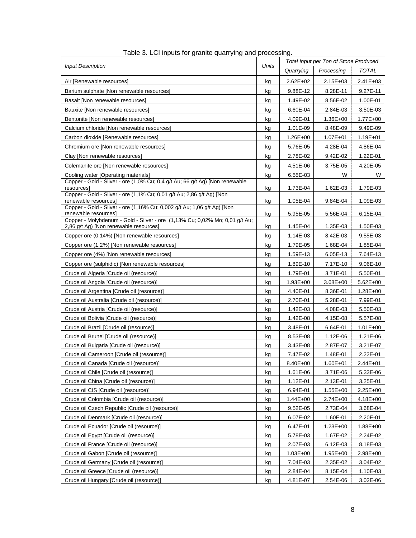<span id="page-10-1"></span><span id="page-10-0"></span>

|                                                                                                     | Units |              | Total Input per Ton of Stone Produced |              |
|-----------------------------------------------------------------------------------------------------|-------|--------------|---------------------------------------|--------------|
| <b>Input Description</b>                                                                            |       | Quarrying    | Processing                            | <b>TOTAL</b> |
| Air [Renewable resources]                                                                           | kg    | $2.62E + 02$ | $2.15E + 03$                          | 2.41E+03     |
| Barium sulphate [Non renewable resources]                                                           | kg    | 9.88E-12     | 8.28E-11                              | 9.27E-11     |
| Basalt INon renewable resources]                                                                    | kg    | 1.49E-02     | 8.56E-02                              | 1.00E-01     |
| Bauxite [Non renewable resources]                                                                   | kg    | 6.60E-04     | 2.84E-03                              | 3.50E-03     |
| Bentonite [Non renewable resources]                                                                 | kg    | 4.09E-01     | 1.36E+00                              | 1.77E+00     |
| Calcium chloride [Non renewable resources]                                                          | kg    | 1.01E-09     | 8.48E-09                              | 9.49E-09     |
| Carbon dioxide [Renewable resources]                                                                | kg    | 1.26E+00     | $1.07E + 01$                          | $1.19E + 01$ |
| Chromium ore [Non renewable resources]                                                              | kg    | 5.76E-05     | 4.28E-04                              | 4.86E-04     |
| Clay [Non renewable resources]                                                                      | kg    | 2.78E-02     | 9.42E-02                              | 1.22E-01     |
| Colemanite ore [Non renewable resources]                                                            | kg    | 4.51E-06     | 3.75E-05                              | 4.20E-05     |
| Cooling water [Operating materials]                                                                 | kg    | 6.55E-03     | W                                     | W            |
| Copper - Gold - Silver - ore (1,0% Cu; 0,4 g/t Au; 66 g/t Ag) [Non renewable                        |       |              |                                       |              |
| resources]<br>Copper - Gold - Silver - ore (1,1% Cu; 0,01 g/t Au; 2,86 g/t Ag) [Non                 | kg    | 1.73E-04     | 1.62E-03                              | 1.79E-03     |
| renewable resources]                                                                                | kg    | 1.05E-04     | 9.84E-04                              | 1.09E-03     |
| Copper - Gold - Silver - ore (1,16% Cu; 0,002 g/t Au; 1,06 g/t Ag) [Non                             |       |              |                                       |              |
| renewable resources]<br>Copper - Molybdenum - Gold - Silver - ore (1,13% Cu; 0,02% Mo; 0,01 g/t Au; | kg    | 5.95E-05     | 5.56E-04                              | 6.15E-04     |
| 2,86 g/t Ag) [Non renewable resources]                                                              | kg    | 1.45E-04     | 1.35E-03                              | 1.50E-03     |
| Copper ore (0.14%) [Non renewable resources]                                                        | kg    | 1.14E-03     | 8.42E-03                              | 9.55E-03     |
| Copper ore (1.2%) [Non renewable resources]                                                         | kg    | 1.79E-05     | 1.68E-04                              | 1.85E-04     |
| Copper ore (4%) [Non renewable resources]                                                           | kg    | 1.59E-13     | 6.05E-13                              | 7.64E-13     |
| Copper ore (sulphidic) [Non renewable resources]                                                    | kg    | 1.89E-10     | 7.17E-10                              | 9.06E-10     |
| Crude oil Algeria [Crude oil (resource)]                                                            | kg    | 1.79E-01     | 3.71E-01                              | 5.50E-01     |
| Crude oil Angola [Crude oil (resource)]                                                             | kg    | $1.93E + 00$ | 3.68E+00                              | $5.62E + 00$ |
| Crude oil Argentina [Crude oil (resource)]                                                          | kg    | 4.40E-01     | 8.36E-01                              | 1.28E+00     |
| Crude oil Australia [Crude oil (resource)]                                                          | kg    | 2.70E-01     | 5.28E-01                              | 7.99E-01     |
| Crude oil Austria [Crude oil (resource)]                                                            | kg    | 1.42E-03     | 4.08E-03                              | 5.50E-03     |
| Crude oil Bolivia [Crude oil (resource)]                                                            | kg    | 1.42E-08     | 4.15E-08                              | 5.57E-08     |
| Crude oil Brazil [Crude oil (resource)]                                                             | kg    | 3.48E-01     | 6.64E-01                              | $1.01E + 00$ |
| Crude oil Brunei [Crude oil (resource)]                                                             | kg    | 8.53E-08     | 1.12E-06                              | 1.21E-06     |
| Crude oil Bulgaria [Crude oil (resource)]                                                           | kg    | 3.43E-08     | 2.87E-07                              | 3.21E-07     |
| Crude oil Cameroon [Crude oil (resource)]                                                           | kg    | 7.47E-02     | 1.48E-01                              | 2.22E-01     |
| Crude oil Canada [Crude oil (resource)]                                                             | kg    | 8.40E+00     | $1.60E + 01$                          | $2.44E + 01$ |
| Crude oil Chile [Crude oil (resource)]                                                              | kg    | 1.61E-06     | 3.71E-06                              | 5.33E-06     |
| Crude oil China [Crude oil (resource)]                                                              | kg    | $1.12E - 01$ | 2.13E-01                              | 3.25E-01     |
| Crude oil CIS [Crude oil (resource)]                                                                | kg    | 6.94E-01     | $1.55E + 00$                          | 2.25E+00     |
| Crude oil Colombia [Crude oil (resource)]                                                           | kg    | $1.44E + 00$ | $2.74E + 00$                          | 4.18E+00     |
| Crude oil Czech Republic [Crude oil (resource)]                                                     | kg    | 9.52E-05     | 2.73E-04                              | 3.68E-04     |
| Crude oil Denmark [Crude oil (resource)]                                                            | kg    | 6.07E-02     | 1.60E-01                              | 2.20E-01     |
| Crude oil Ecuador [Crude oil (resource)]                                                            | kg    | 6.47E-01     | $1.23E + 00$                          | 1.88E+00     |
| Crude oil Eqypt [Crude oil (resource)]                                                              | kg    | 5.78E-03     | 1.67E-02                              | 2.24E-02     |
| Crude oil France [Crude oil (resource)]                                                             | kg    | 2.07E-03     | 6.12E-03                              | 8.18E-03     |
| Crude oil Gabon [Crude oil (resource)]                                                              | kg    | $1.03E + 00$ | 1.95E+00                              | 2.98E+00     |
| Crude oil Germany [Crude oil (resource)]                                                            | kg    | 7.04E-03     | 2.35E-02                              | 3.04E-02     |
| Crude oil Greece [Crude oil (resource)]                                                             | kg    | 2.84E-04     | 8.15E-04                              | 1.10E-03     |
| Crude oil Hungary [Crude oil (resource)]                                                            | kg    | 4.81E-07     | 2.54E-06                              | 3.02E-06     |

|  |  |  | Table 3. LCI inputs for granite quarrying and processing. |
|--|--|--|-----------------------------------------------------------|
|  |  |  |                                                           |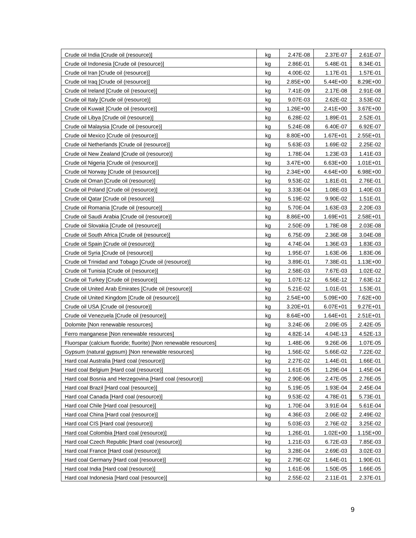| Crude oil India [Crude oil (resource)]                           | kg | 2.47E-08     | 2.37E-07     | 2.61E-07     |
|------------------------------------------------------------------|----|--------------|--------------|--------------|
| Crude oil Indonesia [Crude oil (resource)]                       | kg | 2.86E-01     | 5.48E-01     | 8.34E-01     |
| Crude oil Iran [Crude oil (resource)]                            | kg | 4.00E-02     | 1.17E-01     | 1.57E-01     |
| Crude oil Iraq [Crude oil (resource)]                            | kg | 2.85E+00     | $5.44E + 00$ | 8.29E+00     |
| Crude oil Ireland [Crude oil (resource)]                         | kg | 7.41E-09     | 2.17E-08     | 2.91E-08     |
| Crude oil Italy [Crude oil (resource)]                           | kg | 9.07E-03     | 2.62E-02     | 3.53E-02     |
| Crude oil Kuwait [Crude oil (resource)]                          | kg | $1.26E + 00$ | $2.41E + 00$ | 3.67E+00     |
| Crude oil Libya [Crude oil (resource)]                           | kg | 6.28E-02     | 1.89E-01     | 2.52E-01     |
| Crude oil Malaysia [Crude oil (resource)]                        | kg | 5.24E-08     | 6.40E-07     | 6.92E-07     |
| Crude oil Mexico [Crude oil (resource)]                          | kg | 8.80E+00     | $1.67E + 01$ | $2.55E + 01$ |
| Crude oil Netherlands [Crude oil (resource)]                     | kg | 5.63E-03     | 1.69E-02     | 2.25E-02     |
| Crude oil New Zealand [Crude oil (resource)]                     | kg | 1.78E-04     | 1.23E-03     | 1.41E-03     |
| Crude oil Nigeria [Crude oil (resource)]                         | kg | 3.47E+00     | $6.63E + 00$ | $1.01E + 01$ |
| Crude oil Norway [Crude oil (resource)]                          | kg | 2.34E+00     | $4.64E + 00$ | 6.98E+00     |
| Crude oil Oman [Crude oil (resource)]                            | kg | 9.53E-02     | 1.81E-01     | 2.76E-01     |
| Crude oil Poland [Crude oil (resource)]                          | kg | 3.33E-04     | 1.08E-03     | 1.40E-03     |
| Crude oil Qatar [Crude oil (resource)]                           | kg | 5.19E-02     | 9.90E-02     | 1.51E-01     |
| Crude oil Romania [Crude oil (resource)]                         | kg | 5.70E-04     | 1.63E-03     | 2.20E-03     |
| Crude oil Saudi Arabia [Crude oil (resource)]                    | kg | 8.86E+00     | $1.69E + 01$ | 2.58E+01     |
| Crude oil Slovakia [Crude oil (resource)]                        | kg | 2.50E-09     | 1.78E-08     | 2.03E-08     |
| Crude oil South Africa [Crude oil (resource)]                    | kg | 6.75E-09     | 2.36E-08     | 3.04E-08     |
| Crude oil Spain [Crude oil (resource)]                           | kg | 4.74E-04     | 1.36E-03     | 1.83E-03     |
| Crude oil Syria [Crude oil (resource)]                           | kg | 1.95E-07     | 1.63E-06     | 1.83E-06     |
| Crude oil Trinidad and Tobago [Crude oil (resource)]             | kg | 3.89E-01     | 7.38E-01     | $1.13E + 00$ |
| Crude oil Tunisia [Crude oil (resource)]                         | kg | 2.58E-03     | 7.67E-03     | 1.02E-02     |
| Crude oil Turkey [Crude oil (resource)]                          | kg | 1.07E-12     | 6.56E-12     | 7.63E-12     |
| Crude oil United Arab Emirates [Crude oil (resource)]            | kg | 5.21E-02     | 1.01E-01     | 1.53E-01     |
| Crude oil United Kingdom [Crude oil (resource)]                  | kg | $2.54E + 00$ | $5.09E + 00$ | 7.62E+00     |
| Crude oil USA [Crude oil (resource)]                             | kg | 3.20E+01     | $6.07E + 01$ | $9.27E + 01$ |
| Crude oil Venezuela [Crude oil (resource)]                       | kg | 8.64E+00     | $1.64E + 01$ | $2.51E + 01$ |
| Dolomite [Non renewable resources]                               | kg | 3.24E-06     | 2.09E-05     | 2.42E-05     |
| Ferro manganese [Non renewable resources]                        | kg | 4.82E-14     | 4.04E-13     | 4.52E-13     |
| Fluorspar (calcium fluoride; fluorite) [Non renewable resources] | kg | 1.48E-06     | 9.26E-06     | 1.07E-05     |
| Gypsum (natural gypsum) [Non renewable resources]                | kg | 1.56E-02     | 5.66E-02     | 7.22E-02     |
| Hard coal Australia [Hard coal (resource)]                       | kg | 2.27E-02     | 1.44E-01     | 1.66E-01     |
| Hard coal Belgium [Hard coal (resource)]                         | kg | 1.61E-05     | 1.29E-04     | 1.45E-04     |
| Hard coal Bosnia and Herzegovina [Hard coal (resource)]          | kg | 2.90E-06     | 2.47E-05     | 2.76E-05     |
| Hard coal Brazil [Hard coal (resource)]                          | kg | 5.19E-05     | 1.93E-04     | 2.45E-04     |
| Hard coal Canada [Hard coal (resource)]                          | kg | 9.53E-02     | 4.78E-01     | 5.73E-01     |
| Hard coal Chile [Hard coal (resource)]                           | kg | 1.70E-04     | 3.91E-04     | 5.61E-04     |
| Hard coal China [Hard coal (resource)]                           | kg | 4.36E-03     | 2.06E-02     | 2.49E-02     |
| Hard coal CIS [Hard coal (resource)]                             | kg | 5.03E-03     | 2.76E-02     | 3.25E-02     |
| Hard coal Colombia [Hard coal (resource)]                        | kg | 1.26E-01     | $1.02E + 00$ | $1.15E + 00$ |
| Hard coal Czech Republic [Hard coal (resource)]                  | kg | 1.21E-03     | 6.72E-03     | 7.85E-03     |
| Hard coal France [Hard coal (resource)]                          | kg | 3.28E-04     | 2.69E-03     | 3.02E-03     |
| Hard coal Germany [Hard coal (resource)]                         | kg | 2.79E-02     | 1.64E-01     | 1.90E-01     |
| Hard coal India [Hard coal (resource)]                           | kg | 1.61E-06     | 1.50E-05     | 1.66E-05     |
| Hard coal Indonesia [Hard coal (resource)]                       | kg | 2.55E-02     | 2.11E-01     | 2.37E-01     |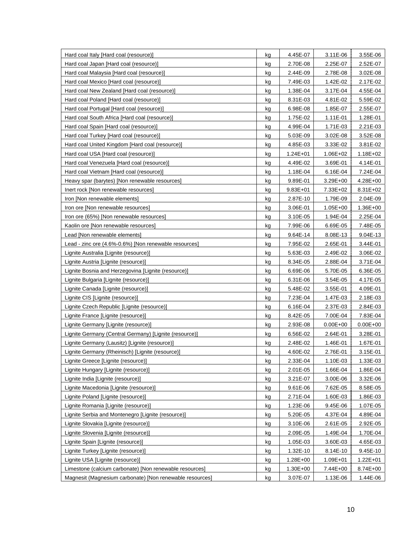| Hard coal Italy [Hard coal (resource)]                   | kg        | 4.45E-07     | 3.11E-06     | 3.55E-06     |
|----------------------------------------------------------|-----------|--------------|--------------|--------------|
| Hard coal Japan [Hard coal (resource)]                   | kg        | 2.70E-08     | 2.25E-07     | 2.52E-07     |
| Hard coal Malaysia [Hard coal (resource)]                | kg        | 2.44E-09     | 2.78E-08     | 3.02E-08     |
| Hard coal Mexico [Hard coal (resource)]                  | kg        | 7.49E-03     | 1.42E-02     | 2.17E-02     |
| Hard coal New Zealand [Hard coal (resource)]             | kg        | 1.38E-04     | 3.17E-04     | 4.55E-04     |
| Hard coal Poland [Hard coal (resource)]                  | kg        | 8.31E-03     | 4.81E-02     | 5.59E-02     |
| Hard coal Portugal [Hard coal (resource)]                | kg        | 6.98E-08     | 1.85E-07     | 2.55E-07     |
| Hard coal South Africa [Hard coal (resource)]            | kg        | 1.75E-02     | 1.11E-01     | 1.28E-01     |
| Hard coal Spain [Hard coal (resource)]                   | kg        | 4.99E-04     | 1.71E-03     | 2.21E-03     |
| Hard coal Turkey [Hard coal (resource)]                  | kg        | 5.03E-09     | 3.02E-08     | 3.52E-08     |
| Hard coal United Kingdom [Hard coal (resource)]          | kg        | 4.85E-03     | 3.33E-02     | 3.81E-02     |
| Hard coal USA [Hard coal (resource)]                     | kg        | $1.24E + 01$ | $1.06E + 02$ | 1.18E+02     |
| Hard coal Venezuela [Hard coal (resource)]               | kg        | 4.49E-02     | 3.69E-01     | 4.14E-01     |
| Hard coal Vietnam [Hard coal (resource)]                 | kg        | 1.18E-04     | 6.16E-04     | 7.24E-04     |
| Heavy spar (barytes) [Non renewable resources]           | kg        | 9.89E-01     | 3.29E+00     | 4.28E+00     |
| Inert rock [Non renewable resources]                     | kg        | $9.83E + 01$ | 7.33E+02     | 8.31E+02     |
| Iron [Non renewable elements]                            | kg        | 2.87E-10     | 1.79E-09     | 2.04E-09     |
| Iron ore [Non renewable resources]                       | kg        | 3.06E-01     | $1.05E + 00$ | 1.36E+00     |
| Iron ore (65%) [Non renewable resources]                 | kg        | 3.10E-05     | 1.94E-04     | 2.25E-04     |
| Kaolin ore [Non renewable resources]                     | kg        | 7.99E-06     | 6.69E-05     | 7.48E-05     |
| Lead [Non renewable elements]                            | kg        | 9.64E-14     | 8.08E-13     | 9.04E-13     |
| Lead - zinc ore (4.6%-0.6%) [Non renewable resources]    | kg        | 7.95E-02     | 2.65E-01     | 3.44E-01     |
| Lignite Australia [Lignite (resource)]                   | kg        | 5.63E-03     | 2.49E-02     | 3.06E-02     |
| Lignite Austria [Lignite (resource)]                     | kg        | 8.34E-05     | 2.88E-04     | 3.71E-04     |
| Lignite Bosnia and Herzegovina [Lignite (resource)]      | kg        | 6.69E-06     | 5.70E-05     | 6.36E-05     |
| Lignite Bulgaria [Lignite (resource)]                    | kg        | 6.31E-06     | 3.54E-05     | 4.17E-05     |
| Lignite Canada [Lignite (resource)]                      | kg        | 5.48E-02     | 3.55E-01     | 4.09E-01     |
| Lignite CIS [Lignite (resource)]                         | kg        | 7.23E-04     | 1.47E-03     | 2.18E-03     |
| Lignite Czech Republic [Lignite (resource)]              | kg        | 6.16E-04     | 2.37E-03     | 2.84E-03     |
| Lignite France [Lignite (resource)]                      | kg        | 8.42E-05     | 7.00E-04     | 7.83E-04     |
| Lignite Germany [Lignite (resource)]                     | kg        | 2.93E-08     | $0.00E + 00$ | $0.00E + 00$ |
| Lignite Germany (Central Germany) [Lignite (resource)]   | kg        | 6.56E-02     | 2.64E-01     | 3.28E-01     |
| Lignite Germany (Lausitz) [Lignite (resource)]           | kg        | 2.48E-02     | 1.46E-01     | 1.67E-01     |
| Lignite Germany (Rheinisch) [Lignite (resource)]         | kg        | 4.60E-02     | 2.76E-01     | 3.15E-01     |
| Lignite Greece [Lignite (resource)]                      | kg        | 2.33E-04     | 1.10E-03     | 1.33E-03     |
| Lignite Hungary [Lignite (resource)]                     | kg        | 2.01E-05     | 1.66E-04     | 1.86E-04     |
| Lignite India [Lignite (resource)]                       | kg        | 3.21E-07     | 3.00E-06     | 3.32E-06     |
| Lignite Macedonia [Lignite (resource)]                   | kg        | 9.61E-06     | 7.62E-05     | 8.58E-05     |
| Lignite Poland [Lignite (resource)]                      | kg        | 2.71E-04     | 1.60E-03     | 1.86E-03     |
| Lignite Romania [Lignite (resource)]                     | kg        | 1.23E-06     | 9.45E-06     | 1.07E-05     |
| Lignite Serbia and Montenegro [Lignite (resource)]       | kg        | 5.20E-05     | 4.37E-04     | 4.89E-04     |
| Lignite Slovakia [Lignite (resource)]                    | kg        | 3.10E-06     | 2.61E-05     | 2.92E-05     |
| Lignite Slovenia [Lignite (resource)]                    | kg        | 2.09E-05     | 1.49E-04     | 1.70E-04     |
| Lignite Spain [Lignite (resource)]                       | kg        | 1.05E-03     | 3.60E-03     | 4.65E-03     |
| Lignite Turkey [Lignite (resource)]                      | kg        | 1.32E-10     | 8.14E-10     | 9.45E-10     |
| Lignite USA [Lignite (resource)]                         | kg        | 1.28E+00     | $1.09E + 01$ | $1.22E + 01$ |
| Limestone (calcium carbonate) [Non renewable resources]  | kg        | $1.30E + 00$ | 7.44E+00     | 8.74E+00     |
| Magnesit (Magnesium carbonate) [Non renewable resources] | <u>kg</u> | 3.07E-07     | 1.13E-06     | 1.44E-06     |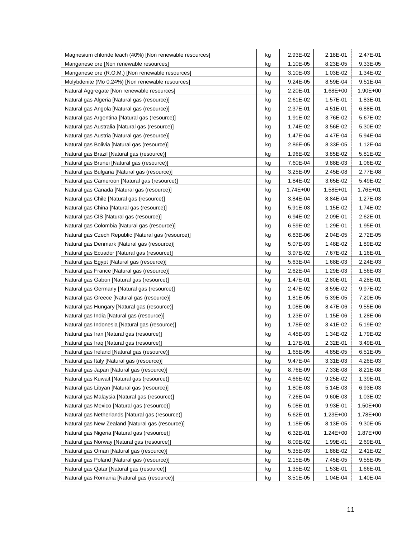| Magnesium chloride leach (40%) [Non renewable resources] | kg | 2.93E-02     | 2.18E-01     | 2.47E-01 |
|----------------------------------------------------------|----|--------------|--------------|----------|
| Manganese ore [Non renewable resources]                  | kg | 1.10E-05     | 8.23E-05     | 9.33E-05 |
| Manganese ore (R.O.M.) [Non renewable resources]         | kg | 3.10E-03     | 1.03E-02     | 1.34E-02 |
| Molybdenite (Mo 0,24%) [Non renewable resources]         | kg | 9.24E-05     | 8.59E-04     | 9.51E-04 |
| Natural Aggregate [Non renewable resources]              | kg | 2.20E-01     | $1.68E + 00$ | 1.90E+00 |
| Natural gas Algeria [Natural gas (resource)]             | kg | 2.61E-02     | 1.57E-01     | 1.83E-01 |
| Natural gas Angola [Natural gas (resource)]              | kg | 2.37E-01     | 4.51E-01     | 6.88E-01 |
| Natural gas Argentina [Natural gas (resource)]           | kg | 1.91E-02     | 3.76E-02     | 5.67E-02 |
| Natural gas Australia [Natural gas (resource)]           | kg | 1.74E-02     | 3.56E-02     | 5.30E-02 |
| Natural gas Austria [Natural gas (resource)]             | kg | 1.47E-04     | 4.47E-04     | 5.94E-04 |
| Natural gas Bolivia [Natural gas (resource)]             | kg | 2.86E-05     | 8.33E-05     | 1.12E-04 |
| Natural gas Brazil [Natural gas (resource)]              | kg | 1.96E-02     | 3.85E-02     | 5.81E-02 |
| Natural gas Brunei [Natural gas (resource)]              | kg | 7.60E-04     | 9.88E-03     | 1.06E-02 |
| Natural gas Bulgaria [Natural gas (resource)]            | kg | 3.25E-09     | 2.45E-08     | 2.77E-08 |
| Natural gas Cameroon [Natural gas (resource)]            | kg | 1.84E-02     | 3.65E-02     | 5.49E-02 |
| Natural gas Canada [Natural gas (resource)]              | kg | $1.74E + 00$ | 1.58E+01     | 1.76E+01 |
| Natural gas Chile [Natural gas (resource)]               | kg | 3.84E-04     | 8.84E-04     | 1.27E-03 |
| Natural gas China [Natural gas (resource)]               | kg | 5.91E-03     | 1.15E-02     | 1.74E-02 |
| Natural gas CIS [Natural gas (resource)]                 | kg | 6.94E-02     | 2.09E-01     | 2.62E-01 |
| Natural gas Colombia [Natural gas (resource)]            | kg | 6.59E-02     | 1.29E-01     | 1.95E-01 |
| Natural gas Czech Republic [Natural gas (resource)]      | kg | 6.83E-06     | 2.04E-05     | 2.72E-05 |
| Natural gas Denmark [Natural gas (resource)]             | kg | 5.07E-03     | 1.48E-02     | 1.89E-02 |
| Natural gas Ecuador [Natural gas (resource)]             | kg | 3.97E-02     | 7.67E-02     | 1.16E-01 |
| Natural gas Egypt [Natural gas (resource)]               | kg | 5.63E-04     | 1.68E-03     | 2.24E-03 |
| Natural gas France [Natural gas (resource)]              | kg | 2.62E-04     | 1.29E-03     | 1.56E-03 |
| Natural gas Gabon [Natural gas (resource)]               | kg | 1.47E-01     | 2.80E-01     | 4.28E-01 |
| Natural gas Germany [Natural gas (resource)]             | kg | 2.47E-02     | 8.59E-02     | 9.97E-02 |
| Natural gas Greece [Natural gas (resource)]              | kg | 1.81E-05     | 5.39E-05     | 7.20E-05 |
| Natural gas Hungary [Natural gas (resource)]             | kg | 1.08E-06     | 8.47E-06     | 9.55E-06 |
| Natural gas India [Natural gas (resource)]               | kg | 1.23E-07     | 1.15E-06     | 1.28E-06 |
| Natural gas Indonesia [Natural gas (resource)]           | kg | 1.78E-02     | 3.41E-02     | 5.19E-02 |
| Natural gas Iran [Natural gas (resource)]                | kg | 4.45E-03     | 1.34E-02     | 1.79E-02 |
| Natural gas Iraq [Natural gas (resource)]                | kg | 1.17E-01     | 2.32E-01     | 3.49E-01 |
| Natural gas Ireland [Natural gas (resource)]             | kg | 1.65E-05     | 4.85E-05     | 6.51E-05 |
| Natural gas Italy [Natural gas (resource)]               | kg | 9.47E-04     | 3.31E-03     | 4.26E-03 |
| Natural gas Japan [Natural gas (resource)]               | kg | 8.76E-09     | 7.33E-08     | 8.21E-08 |
| Natural gas Kuwait [Natural gas (resource)]              | kg | 4.66E-02     | 9.25E-02     | 1.39E-01 |
| Natural gas Libyan [Natural gas (resource)]              | kg | 1.80E-03     | 5.14E-03     | 6.93E-03 |
| Natural gas Malaysia [Natural gas (resource)]            | kg | 7.26E-04     | 9.60E-03     | 1.03E-02 |
| Natural gas Mexico [Natural gas (resource)]              | kg | 5.08E-01     | 9.93E-01     | 1.50E+00 |
| Natural gas Netherlands [Natural gas (resource)]         | kg | 5.62E-01     | $1.23E + 00$ | 1.78E+00 |
| Natural gas New Zealand [Natural gas (resource)]         | kg | 1.18E-05     | 8.13E-05     | 9.30E-05 |
| Natural gas Nigeria [Natural gas (resource)]             | kg | 6.32E-01     | $1.24E + 00$ | 1.87E+00 |
| Natural gas Norway [Natural gas (resource)]              | kg | 8.09E-02     | 1.99E-01     | 2.69E-01 |
| Natural gas Oman [Natural gas (resource)]                | kg | 5.35E-03     | 1.88E-02     | 2.41E-02 |
| Natural gas Poland [Natural gas (resource)]              | kg | 2.15E-05     | 7.45E-05     | 9.55E-05 |
| Natural gas Qatar [Natural gas (resource)]               | kg | 1.35E-02     | 1.53E-01     | 1.66E-01 |
| Natural gas Romania [Natural gas (resource)]             | kg | 3.51E-05     | 1.04E-04     | 1.40E-04 |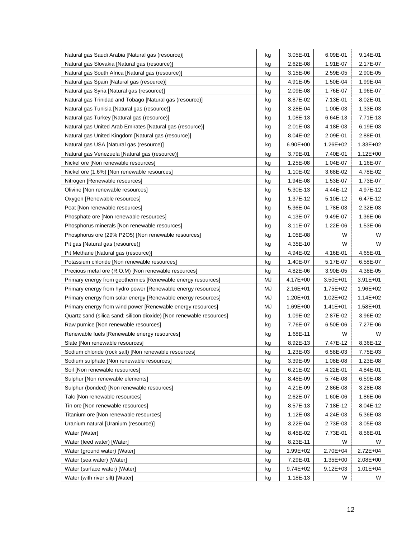| Natural gas Saudi Arabia [Natural gas (resource)]                    | kg | 3.05E-01     | 6.09E-01     | 9.14E-01     |
|----------------------------------------------------------------------|----|--------------|--------------|--------------|
| Natural gas Slovakia [Natural gas (resource)]                        | kg | 2.62E-08     | 1.91E-07     | 2.17E-07     |
| Natural gas South Africa [Natural gas (resource)]                    | kg | 3.15E-06     | 2.59E-05     | 2.90E-05     |
| Natural gas Spain [Natural gas (resource)]                           | kg | 4.91E-05     | 1.50E-04     | 1.99E-04     |
| Natural gas Syria [Natural gas (resource)]                           | kg | 2.09E-08     | 1.76E-07     | 1.96E-07     |
| Natural gas Trinidad and Tobago [Natural gas (resource)]             | kg | 8.87E-02     | 7.13E-01     | 8.02E-01     |
| Natural gas Tunisia [Natural gas (resource)]                         | kg | 3.28E-04     | 1.00E-03     | 1.33E-03     |
| Natural gas Turkey [Natural gas (resource)]                          | kg | 1.08E-13     | 6.64E-13     | 7.71E-13     |
| Natural gas United Arab Emirates [Natural gas (resource)]            | kg | 2.01E-03     | 4.18E-03     | 6.19E-03     |
| Natural gas United Kingdom [Natural gas (resource)]                  | kg | 8.04E-02     | 2.09E-01     | 2.88E-01     |
| Natural gas USA [Natural gas (resource)]                             | kg | $6.90E + 00$ | $1.26E + 02$ | $1.33E + 02$ |
| Natural gas Venezuela [Natural gas (resource)]                       | kg | 3.79E-01     | 7.40E-01     | $1.12E + 00$ |
| Nickel ore [Non renewable resources]                                 | kg | 1.25E-08     | 1.04E-07     | 1.16E-07     |
| Nickel ore (1.6%) [Non renewable resources]                          | kg | 1.10E-02     | 3.68E-02     | 4.78E-02     |
| Nitrogen [Renewable resources]                                       | kg | 1.94E-08     | 1.53E-07     | 1.73E-07     |
| Olivine [Non renewable resources]                                    | kg | 5.30E-13     | 4.44E-12     | 4.97E-12     |
| Oxygen [Renewable resources]                                         | kg | 1.37E-12     | 5.10E-12     | 6.47E-12     |
| Peat [Non renewable resources]                                       | kg | 5.36E-04     | 1.78E-03     | 2.32E-03     |
| Phosphate ore [Non renewable resources]                              | kg | 4.13E-07     | 9.49E-07     | 1.36E-06     |
| Phosphorus minerals [Non renewable resources]                        | kg | 3.11E-07     | 1.22E-06     | 1.53E-06     |
| Phosphorus ore (29% P2O5) [Non renewable resources]                  | kg | 1.05E-08     | W            | W            |
| Pit gas [Natural gas (resource)]                                     | kg | 4.35E-10     | W            | W            |
| Pit Methane [Natural gas (resource)]                                 | kg | 4.94E-02     | 4.16E-01     | 4.65E-01     |
| Potassium chloride [Non renewable resources]                         | kg | 1.40E-07     | 5.17E-07     | 6.58E-07     |
| Precious metal ore (R.O.M) [Non renewable resources]                 | kg | 4.82E-06     | 3.90E-05     | 4.38E-05     |
| Primary energy from geothermics [Renewable energy resources]         | MJ | 4.17E+00     | 3.50E+01     | $3.91E + 01$ |
| Primary energy from hydro power [Renewable energy resources]         | MJ | $2.16E + 01$ | $1.75E + 02$ | 1.96E+02     |
| Primary energy from solar energy [Renewable energy resources]        | MJ | $1.20E + 01$ | $1.02E + 02$ | $1.14E + 02$ |
| Primary energy from wind power [Renewable energy resources]          | MJ | 1.69E+00     | $1.41E + 01$ | $1.58E + 01$ |
| Quartz sand (silica sand; silicon dioxide) [Non renewable resources] | kg | 1.09E-02     | 2.87E-02     | 3.96E-02     |
| Raw pumice [Non renewable resources]                                 | kg | 7.76E-07     | 6.50E-06     | 7.27E-06     |
| Renewable fuels [Renewable energy resources]                         | kg | 1.68E-11     | W            | W            |
| Slate [Non renewable resources]                                      | kg | 8.92E-13     | 7.47E-12     | 8.36E-12     |
| Sodium chloride (rock salt) [Non renewable resources]                | kg | 1.23E-03     | 6.58E-03     | 7.75E-03     |
| Sodium sulphate [Non renewable resources]                            | kg | 3.39E-09     | 1.08E-08     | 1.23E-08     |
| Soil [Non renewable resources]                                       | kg | 6.21E-02     | 4.22E-01     | 4.84E-01     |
| Sulphur [Non renewable elements]                                     | kg | 8.48E-09     | 5.74E-08     | 6.59E-08     |
| Sulphur (bonded) [Non renewable resources]                           | kg | 4.21E-09     | 2.86E-08     | 3.28E-08     |
| Talc [Non renewable resources]                                       | kg | 2.62E-07     | 1.60E-06     | 1.86E-06     |
| Tin ore [Non renewable resources]                                    | kg | 8.57E-13     | 7.18E-12     | 8.04E-12     |
| Titanium ore [Non renewable resources]                               | kg | 1.12E-03     | 4.24E-03     | 5.36E-03     |
| Uranium natural [Uranium (resource)]                                 | kg | 3.22E-04     | 2.73E-03     | 3.05E-03     |
| Water [Water]                                                        | kg | 8.45E-02     | 7.73E-01     | 8.56E-01     |
| Water (feed water) [Water]                                           | kg | 8.23E-11     | W            | W            |
| Water (ground water) [Water]                                         | kg | 1.99E+02     | 2.70E+04     | $2.72E + 04$ |
| Water (sea water) [Water]                                            | kg | 7.29E-01     | $1.35E + 00$ | 2.08E+00     |
| Water (surface water) [Water]                                        | kg | $9.74E + 02$ | $9.12E + 03$ | $1.01E + 04$ |
| Water (with river silt) [Water]                                      | kg | $1.18E - 13$ | W            | W            |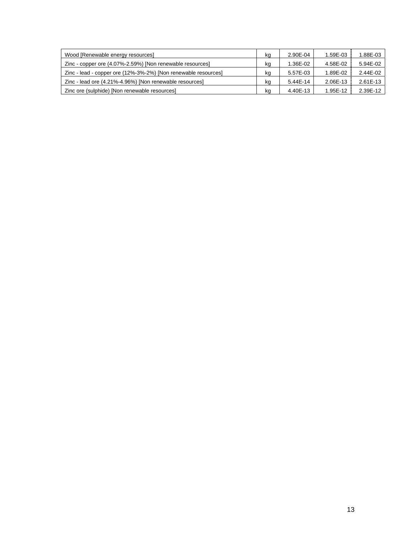| Wood [Renewable energy resources]                              | kg | 2.90E-04     | 1.59E-03 | 1.88E-03 |
|----------------------------------------------------------------|----|--------------|----------|----------|
| Zinc - copper ore (4.07%-2.59%) [Non renewable resources]      | kg | 1.36E-02     | 4.58E-02 | 5.94E-02 |
| Zinc - lead - copper ore (12%-3%-2%) [Non renewable resources] | kg | 5.57E-03     | 1.89E-02 | 2.44E-02 |
| Zinc - lead ore (4.21%-4.96%) [Non renewable resources]        | kg | $5.44E - 14$ | 2.06E-13 | 2.61E-13 |
| Zinc ore (sulphide) [Non renewable resources]                  | kq | 4.40E-13     | 1.95E-12 | 2.39E-12 |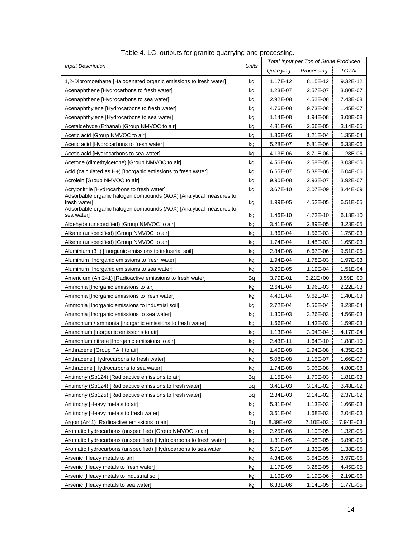<span id="page-16-1"></span><span id="page-16-0"></span>

| <b>Input Description</b>                                                           |       | Total Input per Ton of Stone Produced |              |          |  |
|------------------------------------------------------------------------------------|-------|---------------------------------------|--------------|----------|--|
|                                                                                    | Units | Quarrying                             | Processing   | TOTAL    |  |
| 1,2-Dibromoethane [Halogenated organic emissions to fresh water]                   | kg    | 1.17E-12                              | 8.15E-12     | 9.32E-12 |  |
| Acenaphthene [Hydrocarbons to fresh water]                                         | kg    | 1.23E-07                              | 2.57E-07     | 3.80E-07 |  |
| Acenaphthene [Hydrocarbons to sea water]                                           | kg    | 2.92E-08                              | 4.52E-08     | 7.43E-08 |  |
| Acenaphthylene [Hydrocarbons to fresh water]                                       | kg    | 4.76E-08                              | 9.73E-08     | 1.45E-07 |  |
| Acenaphthylene [Hydrocarbons to sea water]                                         | kg    | 1.14E-08                              | 1.94E-08     | 3.08E-08 |  |
| Acetaldehyde (Ethanal) [Group NMVOC to air]                                        | kg    | 4.81E-06                              | 2.66E-05     | 3.14E-05 |  |
| Acetic acid [Group NMVOC to air]                                                   | kg    | 1.36E-05                              | 1.21E-04     | 1.35E-04 |  |
| Acetic acid [Hydrocarbons to fresh water]                                          | kg    | 5.28E-07                              | 5.81E-06     | 6.33E-06 |  |
| Acetic acid [Hydrocarbons to sea water]                                            | kg    | 4.13E-06                              | 8.71E-06     | 1.28E-05 |  |
| Acetone (dimethylcetone) [Group NMVOC to air]                                      | kg    | 4.56E-06                              | 2.58E-05     | 3.03E-05 |  |
| Acid (calculated as H+) [Inorganic emissions to fresh water]                       | kg    | 6.65E-07                              | 5.38E-06     | 6.04E-06 |  |
| Acrolein [Group NMVOC to air]                                                      | kg    | 9.90E-08                              | 2.93E-07     | 3.92E-07 |  |
| Acrylonitrile [Hydrocarbons to fresh water]                                        | kg    | 3.67E-10                              | 3.07E-09     | 3.44E-09 |  |
| Adsorbable organic halogen compounds (AOX) [Analytical measures to<br>fresh water] | kg    | 1.99E-05                              | 4.52E-05     | 6.51E-05 |  |
| Adsorbable organic halogen compounds (AOX) [Analytical measures to<br>sea water]   | kg    | 1.46E-10                              | 4.72E-10     | 6.18E-10 |  |
| Aldehyde (unspecified) [Group NMVOC to air]                                        | kg    | 3.41E-06                              | 2.89E-05     | 3.23E-05 |  |
| Alkane (unspecified) [Group NMVOC to air]                                          | kg    | 1.86E-04                              | 1.56E-03     | 1.75E-03 |  |
| Alkene (unspecified) [Group NMVOC to air]                                          | kg    | 1.74E-04                              | 1.48E-03     | 1.65E-03 |  |
| Aluminium (3+) [Inorganic emissions to industrial soil]                            | kg    | 2.84E-06                              | 6.67E-06     | 9.51E-06 |  |
| Aluminum [Inorganic emissions to fresh water]                                      | kg    | 1.94E-04                              | 1.78E-03     | 1.97E-03 |  |
| Aluminum [Inorganic emissions to sea water]                                        | kg    | 3.20E-05                              | 1.19E-04     | 1.51E-04 |  |
| Americium (Am241) [Radioactive emissions to fresh water]                           | Bq    | 3.79E-01                              | $3.21E + 00$ | 3.59E+00 |  |
| Ammonia [Inorganic emissions to air]                                               | kg    | 2.64E-04                              | 1.96E-03     | 2.22E-03 |  |
| Ammonia [Inorganic emissions to fresh water]                                       | kg    | 4.40E-04                              | 9.62E-04     | 1.40E-03 |  |
| Ammonia [Inorganic emissions to industrial soil]                                   | kg    | 2.72E-04                              | 5.56E-04     | 8.23E-04 |  |
| Ammonia [Inorganic emissions to sea water]                                         | kg    | 1.30E-03                              | 3.26E-03     | 4.56E-03 |  |
| Ammonium / ammonia [Inorganic emissions to fresh water]                            | kg    | 1.66E-04                              | 1.43E-03     | 1.59E-03 |  |
| Ammonium [Inorganic emissions to air]                                              | kg    | 1.13E-04                              | 3.04E-04     | 4.17E-04 |  |
| Ammonium nitrate [Inorganic emissions to air]                                      | kg    | 2.43E-11                              | 1.64E-10     | 1.88E-10 |  |
| Anthracene [Group PAH to air]                                                      | kg    | 1.40E-08                              | 2.94E-08     | 4.35E-08 |  |
| Anthracene [Hydrocarbons to fresh water]                                           | kg    | 5.08E-08                              | 1.15E-07     | 1.66E-07 |  |
| Anthracene [Hydrocarbons to sea water]                                             | kg    | 1.74E-08                              | 3.06E-08     | 4.80E-08 |  |
| Antimony (Sb124) [Radioactive emissions to air]                                    | Bq    | 1.15E-04                              | 1.70E-03     | 1.81E-03 |  |
| Antimony (Sb124) [Radioactive emissions to fresh water]                            | Вq    | 3.41E-03                              | 3.14E-02     | 3.48E-02 |  |
| Antimony (Sb125) [Radioactive emissions to fresh water]                            | Вq    | 2.34E-03                              | 2.14E-02     | 2.37E-02 |  |
| Antimony [Heavy metals to air]                                                     | kg    | 5.31E-04                              | 1.13E-03     | 1.66E-03 |  |
| Antimony [Heavy metals to fresh water]                                             | kg    | 3.61E-04                              | 1.68E-03     | 2.04E-03 |  |
| Argon (Ar41) [Radioactive emissions to air]                                        | Вq    | 8.39E+02                              | 7.10E+03     | 7.94E+03 |  |
| Aromatic hydrocarbons (unspecified) [Group NMVOC to air]                           | kg    | 2.25E-06                              | 1.10E-05     | 1.32E-05 |  |
| Aromatic hydrocarbons (unspecified) [Hydrocarbons to fresh water]                  | kg    | 1.81E-05                              | 4.08E-05     | 5.89E-05 |  |
| Aromatic hydrocarbons (unspecified) [Hydrocarbons to sea water]                    | kg    | 5.71E-07                              | 1.33E-05     | 1.38E-05 |  |
| Arsenic [Heavy metals to air]                                                      | kg    | 4.34E-06                              | 3.54E-05     | 3.97E-05 |  |
| Arsenic [Heavy metals to fresh water]                                              | kg    | 1.17E-05                              | 3.28E-05     | 4.45E-05 |  |
| Arsenic [Heavy metals to industrial soil]                                          | kg    | 1.10E-09                              | 2.19E-06     | 2.19E-06 |  |
| Arsenic [Heavy metals to sea water]                                                | kg    | 6.33E-06                              | 1.14E-05     | 1.77E-05 |  |

| Table 4. LCI outputs for granite quarrying and processing. |  |  |
|------------------------------------------------------------|--|--|
|                                                            |  |  |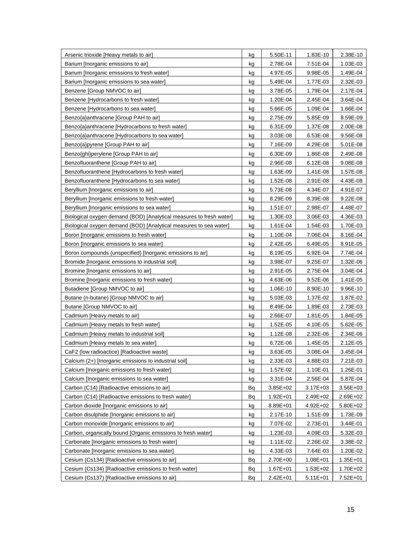| Arsenic trioxide [Heavy metals to air]                              | kg | 5.50E-11     | 1.83E-10     | 2.38E-10     |
|---------------------------------------------------------------------|----|--------------|--------------|--------------|
| Barium [Inorganic emissions to air]                                 | kg | 2.78E-04     | 7.51E-04     | 1.03E-03     |
| Barium [Inorganic emissions to fresh water]                         | kg | 4.97E-05     | 9.98E-05     | 1.49E-04     |
| Barium [Inorganic emissions to sea water]                           | kg | 5.49E-04     | 1.77E-03     | 2.32E-03     |
| Benzene [Group NMVOC to air]                                        | kg | 3.78E-05     | 1.79E-04     | 2.17E-04     |
| Benzene [Hydrocarbons to fresh water]                               | kg | 1.20E-04     | 2.45E-04     | 3.64E-04     |
| Benzene [Hydrocarbons to sea water]                                 | kg | 5.66E-05     | 1.09E-04     | 1.66E-04     |
| Benzo{a}anthracene [Group PAH to air]                               | kg | 2.75E-09     | 5.85E-09     | 8.59E-09     |
| Benzo{a}anthracene [Hydrocarbons to fresh water]                    | kg | 6.31E-09     | 1.37E-08     | 2.00E-08     |
| Benzo{a}anthracene [Hydrocarbons to sea water]                      | kg | 3.03E-08     | 6.53E-08     | 9.56E-08     |
| Benzo{a}pyrene [Group PAH to air]                                   | kg | 7.16E-09     | 4.29E-08     | 5.01E-08     |
| Benzo{ghi}perylene [Group PAH to air]                               | kg | 6.30E-09     | 1.86E-08     | 2.49E-08     |
| Benzofluoranthene [Group PAH to air]                                | kg | 2.96E-08     | 6.12E-08     | 9.08E-08     |
| Benzofluoranthene [Hydrocarbons to fresh water]                     | kg | 1.63E-09     | 1.41E-08     | 1.57E-08     |
| Benzofluoranthene [Hydrocarbons to sea water]                       | kg | 1.52E-08     | 2.91E-08     | 4.43E-08     |
| Beryllium [Inorganic emissions to air]                              | kg | 5.73E-08     | 4.34E-07     | 4.91E-07     |
| Beryllium [Inorganic emissions to fresh water]                      | kg | 8.29E-09     | 8.39E-08     | 9.22E-08     |
| Beryllium [Inorganic emissions to sea water]                        | kg | 1.51E-07     | 2.98E-07     | 4.48E-07     |
| Biological oxygen demand (BOD) [Analytical measures to fresh water] | kg | 1.30E-03     | 3.06E-03     | 4.36E-03     |
| Biological oxygen demand (BOD) [Analytical measures to sea water]   | kg | 1.61E-04     | 1.54E-03     | 1.70E-03     |
| Boron [Inorganic emissions to fresh water]                          | kg | 1.10E-04     | 7.06E-04     | 8.16E-04     |
| Boron [Inorganic emissions to sea water]                            | kg | 2.42E-05     | 6.49E-05     | 8.91E-05     |
| Boron compounds (unspecified) [Inorganic emissions to air]          | kg | 8.19E-05     | 6.92E-04     | 7.74E-04     |
| Bromide [Inorganic emissions to industrial soil]                    | kg | 3.98E-07     | 9.25E-07     | 1.32E-06     |
| Bromine [Inorganic emissions to air]                                | kg | 2.91E-05     | 2.75E-04     | 3.04E-04     |
| Bromine [Inorganic emissions to fresh water]                        | kg | 4.63E-06     | 9.52E-06     | 1.41E-05     |
| Butadiene [Group NMVOC to air]                                      | kg | 1.06E-10     | 8.90E-10     | 9.96E-10     |
| Butane (n-butane) [Group NMVOC to air]                              | kg | 5.03E-03     | 1.37E-02     | 1.87E-02     |
| Butane [Group NMVOC to air]                                         | kg | 8.49E-04     | 1.89E-03     | 2.73E-03     |
| Cadmium [Heavy metals to air]                                       | kg | 2.66E-07     | 1.81E-05     | 1.84E-05     |
| Cadmium [Heavy metals to fresh water]                               | kg | 1.52E-05     | 4.10E-05     | 5.62E-05     |
| Cadmium [Heavy metals to industrial soil]                           | kg | 1.12E-08     | 2.32E-06     | 2.34E-06     |
| Cadmium [Heavy metals to sea water]                                 | kg | 6.72E-06     | 1.45E-05     | 2.12E-05     |
| CaF2 (low radioactice) [Radioactive waste]                          | kg | 3.63E-05     | 3.08E-04     | 3.45E-04     |
| Calcium (2+) [Inorganic emissions to industrial soil]               | kg | 2.33E-03     | 4.88E-03     | 7.21E-03     |
| Calcium [Inorganic emissions to fresh water]                        | kg | 1.57E-02     | 1.10E-01     | 1.26E-01     |
| Calcium [Inorganic emissions to sea water]                          | kg | 3.31E-04     | 2.56E-04     | 5.87E-04     |
| Carbon (C14) [Radioactive emissions to air]                         | Bq | $3.85E + 02$ | 3.17E+03     | 3.56E+03     |
| Carbon (C14) [Radioactive emissions to fresh water]                 | Bq | $1.92E + 01$ | 2.49E+02     | 2.69E+02     |
| Carbon dioxide [Inorganic emissions to air]                         | kg | 8.89E+01     | $4.92E + 02$ | 5.80E+02     |
| Carbon disulphide [Inorganic emissions to air]                      | kg | 2.17E-10     | 1.51E-09     | 1.73E-09     |
| Carbon monoxide [Inorganic emissions to air]                        | kg | 7.07E-02     | 2.73E-01     | 3.44E-01     |
| Carbon, organically bound [Organic emissions to fresh water]        | kg | 1.23E-03     | 4.09E-03     | 5.32E-03     |
| Carbonate [Inorganic emissions to fresh water]                      | kg | 1.11E-02     | 2.26E-02     | 3.38E-02     |
| Carbonate [Inorganic emissions to sea water]                        | kg | 4.33E-03     | 7.64E-03     | 1.20E-02     |
| Cesium (Cs134) [Radioactive emissions to air]                       | Вq | 2.70E+00     | $1.08E + 01$ | $1.35E + 01$ |
| Cesium (Cs134) [Radioactive emissions to fresh water]               | Вq | $1.67E + 01$ | $1.53E + 02$ | 1.70E+02     |
| Cesium (Cs137) [Radioactive emissions to air]                       | Вq | $2.42E + 01$ | $5.11E + 01$ | $7.52E + 01$ |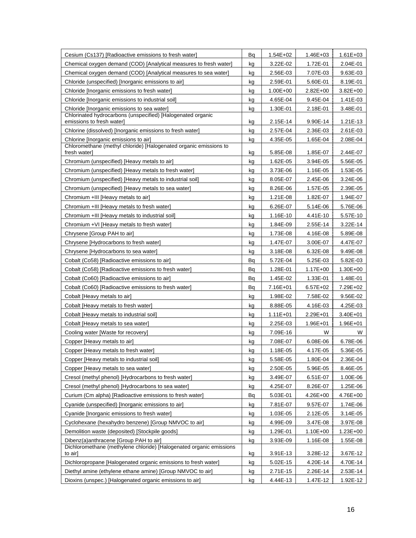| Cesium (Cs137) [Radioactive emissions to fresh water]                                                          |          | $1.54E + 02$         | 1.46E+03             | $1.61E + 03$             |
|----------------------------------------------------------------------------------------------------------------|----------|----------------------|----------------------|--------------------------|
| Chemical oxygen demand (COD) [Analytical measures to fresh water]                                              | kg       | 3.22E-02             | 1.72E-01             | 2.04E-01                 |
| Chemical oxygen demand (COD) [Analytical measures to sea water]                                                |          | 2.56E-03             | 7.07E-03             | 9.63E-03                 |
| Chloride (unspecified) [Inorganic emissions to air]                                                            | kg       | 2.59E-01             | 5.60E-01             | 8.19E-01                 |
| Chloride [Inorganic emissions to fresh water]                                                                  | kg       | 1.00E+00             | 2.82E+00             | $3.82E + 00$             |
| Chloride [Inorganic emissions to industrial soil]                                                              | kg       | 4.65E-04             | 9.45E-04             | 1.41E-03                 |
| Chloride [Inorganic emissions to sea water]                                                                    | kg       | 1.30E-01             | 2.18E-01             | 3.48E-01                 |
| Chlorinated hydrocarbons (unspecified) [Halogenated organic<br>emissions to fresh water]                       | kg       | 2.15E-14             | 9.90E-14             | 1.21E-13                 |
| Chlorine (dissolved) [Inorganic emissions to fresh water]                                                      | kg       | 2.57E-04             | 2.36E-03             | 2.61E-03                 |
| Chlorine [Inorganic emissions to air]                                                                          | kg       | 4.35E-05             | 1.65E-04             | 2.08E-04                 |
| Chloromethane (methyl chloride) [Halogenated organic emissions to<br>fresh water]                              |          | 5.85E-08             | 1.85E-07             | 2.44E-07                 |
| Chromium (unspecified) [Heavy metals to air]                                                                   | kg       | 1.62E-05             | 3.94E-05             | 5.56E-05                 |
|                                                                                                                | kg       |                      |                      |                          |
| Chromium (unspecified) [Heavy metals to fresh water]                                                           | kg       | 3.73E-06             | 1.16E-05             | 1.53E-05                 |
| Chromium (unspecified) [Heavy metals to industrial soil]<br>Chromium (unspecified) [Heavy metals to sea water] | kg       | 8.05E-07             | 2.45E-06<br>1.57E-05 | 3.24E-06                 |
|                                                                                                                | kg       | 8.26E-06             |                      | 2.39E-05                 |
| Chromium +III [Heavy metals to air]<br>Chromium +III [Heavy metals to fresh water]                             | kg       | 1.21E-08<br>6.26E-07 | 1.82E-07             | 1.94E-07<br>5.76E-06     |
| Chromium +III [Heavy metals to industrial soil]                                                                | kg       |                      | 5.14E-06             | 5.57E-10                 |
| Chromium +VI [Heavy metals to fresh water]                                                                     | kg       | 1.16E-10<br>1.84E-09 | 4.41E-10             |                          |
|                                                                                                                | kg       |                      | 2.55E-14             | 3.22E-14                 |
| Chrysene [Group PAH to air]                                                                                    | kg       | 1.73E-08             | 4.16E-08             | 5.89E-08                 |
| Chrysene [Hydrocarbons to fresh water]                                                                         | kg       | 1.47E-07             | 3.00E-07             | 4.47E-07                 |
| Chrysene [Hydrocarbons to sea water]                                                                           | kg       | 3.18E-08             | 6.32E-08             | 9.49E-08                 |
| Cobalt (Co58) [Radioactive emissions to air]                                                                   | Вq       | 5.72E-04             | 5.25E-03             | 5.82E-03                 |
| Cobalt (Co58) [Radioactive emissions to fresh water]                                                           | Вq       | 1.28E-01             | $1.17E + 00$         | $1.30E + 00$             |
| Cobalt (Co60) [Radioactive emissions to air]<br>Cobalt (Co60) [Radioactive emissions to fresh water]           | Вq       | 1.45E-02             | 1.33E-01             | 1.48E-01                 |
| Cobalt [Heavy metals to air]                                                                                   | Вq       | 7.16E+01<br>1.98E-02 | 6.57E+02<br>7.58E-02 | 7.29E+02<br>9.56E-02     |
| Cobalt [Heavy metals to fresh water]                                                                           | kg       | 8.88E-05             | 4.16E-03             |                          |
| Cobalt [Heavy metals to industrial soil]                                                                       | kg       | 1.11E+01             | 2.29E+01             | 4.25E-03<br>$3.40E + 01$ |
| Cobalt [Heavy metals to sea water]                                                                             | kg<br>kg | 2.25E-03             | $1.96E + 01$         | 1.96E+01                 |
| Cooling water [Waste for recovery]                                                                             | kg       | 7.09E-16             | W                    | W                        |
| Copper [Heavy metals to air]                                                                                   | kg       | 7.08E-07             | 6.08E-06             | 6.78E-06                 |
| Copper [Heavy metals to fresh water]                                                                           | kg       | 1.18E-05             | 4.17E-05             | 5.36E-05                 |
| Copper [Heavy metals to industrial soil]                                                                       | kg       | 5.58E-05             | 1.80E-04             | 2.36E-04                 |
| Copper [Heavy metals to sea water]                                                                             | kg       | 2.50E-05             | 5.96E-05             | 8.46E-05                 |
| Cresol (methyl phenol) [Hydrocarbons to fresh water]                                                           | kg       | 3.49E-07             | 6.51E-07             | 1.00E-06                 |
| Cresol (methyl phenol) [Hydrocarbons to sea water]                                                             | kg       | 4.25E-07             | 8.26E-07             | 1.25E-06                 |
| Curium (Cm alpha) [Radioactive emissions to fresh water]                                                       | Вq       | 5.03E-01             | $4.26E + 00$         | 4.76E+00                 |
| Cyanide (unspecified) [Inorganic emissions to air]                                                             | kg       | 7.81E-07             | 9.57E-07             | 1.74E-06                 |
| Cyanide [Inorganic emissions to fresh water]                                                                   | kg       | 1.03E-05             | 2.12E-05             | 3.14E-05                 |
| Cyclohexane (hexahydro benzene) [Group NMVOC to air]                                                           | kg       | 4.99E-09             | 3.47E-08             | 3.97E-08                 |
| Demolition waste (deposited) [Stockpile goods]                                                                 | kg       | 1.29E-01             | $1.10E + 00$         | 1.23E+00                 |
| Dibenz(a)anthracene [Group PAH to air]                                                                         | kg       | 3.93E-09             | 1.16E-08             | 1.55E-08                 |
| Dichloromethane (methylene chloride) [Halogenated organic emissions                                            |          |                      |                      |                          |
| to air]                                                                                                        | kg       | 3.91E-13             | 3.28E-12             | 3.67E-12                 |
| Dichloropropane [Halogenated organic emissions to fresh water]                                                 | kg       | 5.02E-15             | 4.20E-14             | 4.70E-14                 |
| Diethyl amine (ethylene ethane amine) [Group NMVOC to air]                                                     | kg       | 2.71E-15             | 2.26E-14             | 2.53E-14                 |
| Dioxins (unspec.) [Halogenated organic emissions to air]                                                       | kg       | 4.44E-13             | 1.47E-12             | 1.92E-12                 |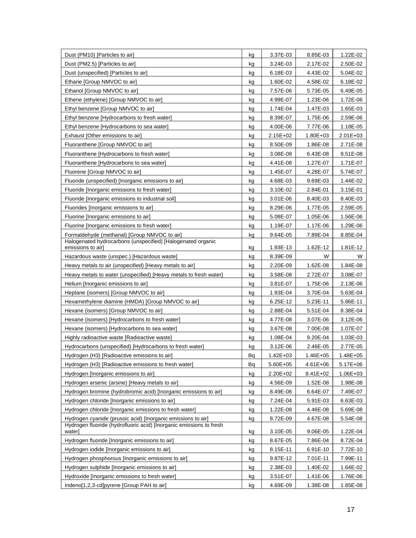| Dust (PM10) [Particles to air]                                                   | kg | 3.37E-03     | 8.85E-03     | 1.22E-02     |
|----------------------------------------------------------------------------------|----|--------------|--------------|--------------|
| Dust (PM2.5) [Particles to air]                                                  | kg | 3.24E-03     | 2.17E-02     | 2.50E-02     |
| Dust (unspecified) [Particles to air]                                            | kg | 6.18E-03     | 4.43E-02     | 5.04E-02     |
| Ethane [Group NMVOC to air]                                                      | kg | 1.60E-02     | 4.58E-02     | 6.18E-02     |
| Ethanol [Group NMVOC to air]                                                     | kg | 7.57E-06     | 5.73E-05     | 6.49E-05     |
| Ethene (ethylene) [Group NMVOC to air]                                           | kg | 4.99E-07     | 1.23E-06     | 1.72E-06     |
| Ethyl benzene [Group NMVOC to air]                                               | kg | 1.74E-04     | 1.47E-03     | 1.65E-03     |
| Ethyl benzene [Hydrocarbons to fresh water]                                      | kg | 8.39E-07     | 1.75E-06     | 2.59E-06     |
| Ethyl benzene [Hydrocarbons to sea water]                                        | kg | 4.00E-06     | 7.77E-06     | 1.18E-05     |
| Exhaust [Other emissions to air]                                                 | kg | 2.15E+02     | $1.80E + 03$ | 2.01E+03     |
| Fluoranthene [Group NMVOC to air]                                                | kg | 8.50E-09     | 1.86E-08     | 2.71E-08     |
| Fluoranthene [Hydrocarbons to fresh water]                                       | kg | 3.08E-08     | 6.43E-08     | 9.51E-08     |
| Fluoranthene [Hydrocarbons to sea water]                                         | kg | 4.41E-08     | 1.27E-07     | 1.71E-07     |
| Fluorene [Group NMVOC to air]                                                    | kg | 1.45E-07     | 4.28E-07     | 5.74E-07     |
| Fluoride (unspecified) [Inorganic emissions to air]                              | kg | 4.68E-03     | 9.69E-03     | 1.44E-02     |
| Fluoride [Inorganic emissions to fresh water]                                    | kg | 3.10E-02     | 2.84E-01     | 3.15E-01     |
| Fluoride [Inorganic emissions to industrial soil]                                | kg | 3.01E-06     | 8.40E-03     | 8.40E-03     |
| Fluorides [Inorganic emissions to air]                                           | kg | 8.29E-06     | 1.77E-05     | 2.59E-05     |
| Fluorine [Inorganic emissions to air]                                            | kg | 5.08E-07     | 1.05E-06     | 1.56E-06     |
| Fluorine [Inorganic emissions to fresh water]                                    | kg | 1.19E-07     | 1.17E-06     | 1.29E-06     |
| Formaldehyde (methanal) [Group NMVOC to air]                                     | kg | 9.64E-05     | 7.89E-04     | 8.85E-04     |
| Halogenated hydrocarbons (unspecified) [Halogenated organic<br>emissions to air] | kg | 1.93E-13     | 1.62E-12     | 1.81E-12     |
| Hazardous waste (unspec.) [Hazardous waste]                                      | kg | 8.39E-09     | W            | W            |
| Heavy metals to air (unspecified) [Heavy metals to air]                          | kg | 2.20E-09     | 1.62E-08     | 1.84E-08     |
| Heavy metals to water (unspecified) [Heavy metals to fresh water]                | kg | 3.58E-08     | 2.72E-07     | 3.08E-07     |
| Helium (Inorganic emissions to air)                                              | kg | 3.81E-07     | 1.75E-06     | 2.13E-06     |
| Heptane (isomers) [Group NMVOC to air]                                           | kg | 1.93E-04     | 3.70E-04     | 5.63E-04     |
| Hexamethylene diamine (HMDA) [Group NMVOC to air]                                | kg | 6.25E-12     | 5.23E-11     | 5.86E-11     |
| Hexane (isomers) [Group NMVOC to air]                                            | kg | 2.88E-04     | 5.51E-04     | 8.38E-04     |
| Hexane (isomers) [Hydrocarbons to fresh water]                                   | kg | 4.77E-08     | 3.07E-06     | 3.12E-06     |
| Hexane (isomers) [Hydrocarbons to sea water]                                     | kg | 3.67E-08     | 7.00E-08     | 1.07E-07     |
| Highly radioactive waste [Radioactive waste]                                     | kg | 1.08E-04     | 9.20E-04     | 1.03E-03     |
| Hydrocarbons (unspecified) [Hydrocarbons to fresh water]                         | kg | 3.12E-06     | 2.46E-05     | 2.77E-05     |
| Hydrogen (H3) [Radioactive emissions to air]                                     | Bq | $1.42E + 03$ | $1.46E + 05$ | $1.48E + 05$ |
| Hydrogen (H3) [Radioactive emissions to fresh water]                             | Вq | 5.60E+05     | $4.61E + 06$ | $5.17E + 06$ |
| Hydrogen [Inorganic emissions to air]                                            | kg | 2.20E+02     | 8.41E+02     | $1.06E + 03$ |
| Hydrogen arsenic (arsine) [Heavy metals to air]                                  | kg | 4.56E-09     | 1.52E-08     | 1.98E-08     |
| Hydrogen bromine (hydrobromic acid) [Inorganic emissions to air]                 | kg | 8.49E-08     | 6.64E-07     | 7.49E-07     |
| Hydrogen chloride [Inorganic emissions to air]                                   | kg | 7.24E-04     | 5.91E-03     | 6.63E-03     |
| Hydrogen chloride [Inorganic emissions to fresh water]                           | kg | 1.22E-08     | 4.46E-08     | 5.69E-08     |
| Hydrogen cyanide (prussic acid) [Inorganic emissions to air]                     | kg | 8.72E-09     | 4.67E-08     | 5.54E-08     |
| Hydrogen fluoride (hydrofluoric acid) [Inorganic emissions to fresh<br>water]    | kg | 3.10E-05     | 9.06E-05     | 1.22E-04     |
| Hydrogen fluoride [Inorganic emissions to air]                                   | kg | 8.67E-05     | 7.86E-04     | 8.72E-04     |
| Hydrogen iodide [Inorganic emissions to air]                                     | kg | 8.15E-11     | 6.91E-10     | 7.72E-10     |
| Hydrogen phosphorous [Inorganic emissions to air]                                | kg | 9.87E-12     | 7.01E-11     | 7.99E-11     |
| Hydrogen sulphide [Inorganic emissions to air]                                   | kg | 2.38E-03     | 1.40E-02     | 1.64E-02     |
| Hydroxide [Inorganic emissions to fresh water]                                   | kg | 3.51E-07     | 1.41E-06     | 1.76E-06     |
| Indeno[1,2,3-cd]pyrene [Group PAH to air]                                        | kg | 4.69E-09     | 1.38E-08     | 1.85E-08     |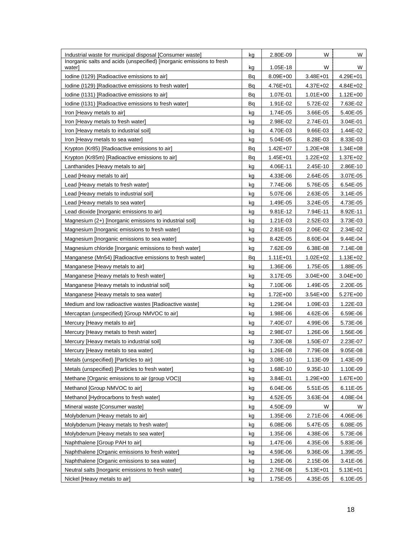| Industrial waste for municipal disposal [Consumer waste]                        | kg | 2.80E-09     | W            | W            |
|---------------------------------------------------------------------------------|----|--------------|--------------|--------------|
| Inorganic salts and acids (unspecified) [Inorganic emissions to fresh<br>water] | kg | 1.05E-18     | W            | W            |
| Iodine (I129) [Radioactive emissions to air]                                    | Bq | $8.09E + 00$ | $3.48E + 01$ | 4.29E+01     |
| Iodine (I129) [Radioactive emissions to fresh water]                            | Вq | 4.76E+01     | $4.37E + 02$ | $4.84E + 02$ |
| Iodine (I131) [Radioactive emissions to air]                                    | Bq | 1.07E-01     | $1.01E + 00$ | $1.12E + 00$ |
| Iodine (I131) [Radioactive emissions to fresh water]                            | Вq | 1.91E-02     | 5.72E-02     | 7.63E-02     |
| Iron [Heavy metals to air]                                                      | kg | 1.74E-05     | 3.66E-05     | 5.40E-05     |
| Iron [Heavy metals to fresh water]                                              | kg | 2.98E-02     | 2.74E-01     | 3.04E-01     |
| Iron [Heavy metals to industrial soil]                                          | kg | 4.70E-03     | 9.66E-03     | 1.44E-02     |
| Iron [Heavy metals to sea water]                                                | kg | 5.04E-05     | 8.28E-03     | 8.33E-03     |
| Krypton (Kr85) [Radioactive emissions to air]                                   | Вq | $1.42E + 07$ | $1.20E + 08$ | $1.34E + 08$ |
| Krypton (Kr85m) [Radioactive emissions to air]                                  | Вq | $1.45E + 01$ | 1.22E+02     | $1.37E + 02$ |
| Lanthanides [Heavy metals to air]                                               | kg | 4.06E-11     | 2.45E-10     | 2.86E-10     |
| Lead [Heavy metals to air]                                                      | kg | 4.33E-06     | 2.64E-05     | 3.07E-05     |
| Lead [Heavy metals to fresh water]                                              | kg | 7.74E-06     | 5.76E-05     | 6.54E-05     |
| Lead [Heavy metals to industrial soil]                                          | kg | 5.07E-06     | 2.63E-05     | 3.14E-05     |
| Lead [Heavy metals to sea water]                                                | kg | 1.49E-05     | 3.24E-05     | 4.73E-05     |
| Lead dioxide [Inorganic emissions to air]                                       | kg | 9.81E-12     | 7.94E-11     | 8.92E-11     |
| Magnesium (2+) [Inorganic emissions to industrial soil]                         | kg | 1.21E-03     | 2.52E-03     | 3.73E-03     |
| Magnesium [Inorganic emissions to fresh water]                                  | kg | 2.81E-03     | 2.06E-02     | 2.34E-02     |
| Magnesium [Inorganic emissions to sea water]                                    | kg | 8.42E-05     | 8.60E-04     | 9.44E-04     |
| Magnesium chloride [Inorganic emissions to fresh water]                         | kg | 7.62E-09     | 6.38E-08     | 7.14E-08     |
| Manganese (Mn54) [Radioactive emissions to fresh water]                         | Bq | 1.11E+01     | $1.02E + 02$ | $1.13E + 02$ |
| Manganese [Heavy metals to air]                                                 | kg | 1.36E-06     | 1.75E-05     | 1.88E-05     |
| Manganese [Heavy metals to fresh water]                                         | kg | 3.17E-05     | $3.04E + 00$ | $3.04E + 00$ |
| Manganese [Heavy metals to industrial soil]                                     | kg | 7.10E-06     | 1.49E-05     | 2.20E-05     |
| Manganese [Heavy metals to sea water]                                           | kg | $1.72E + 00$ | $3.54E + 00$ | $5.27E+00$   |
| Medium and low radioactive wastes [Radioactive waste]                           | kg | 1.29E-04     | 1.09E-03     | 1.22E-03     |
| Mercaptan (unspecified) [Group NMVOC to air]                                    | kg | 1.98E-06     | 4.62E-06     | 6.59E-06     |
| Mercury [Heavy metals to air]                                                   | kg | 7.40E-07     | 4.99E-06     | 5.73E-06     |
| Mercury [Heavy metals to fresh water]                                           | kg | 2.98E-07     | 1.26E-06     | 1.56E-06     |
| Mercury [Heavy metals to industrial soil]                                       | kg | 7.30E-08     | 1.50E-07     | 2.23E-07     |
| Mercury [Heavy metals to sea water]                                             | kg | 1.26E-08     | 7.79E-08     | 9.05E-08     |
| Metals (unspecified) [Particles to air]                                         | kg | 3.08E-10     | 1.13E-09     | 1.43E-09     |
| Metals (unspecified) [Particles to fresh water]                                 | kg | 1.68E-10     | 9.35E-10     | 1.10E-09     |
| Methane [Organic emissions to air (group VOC)]                                  | kg | 3.84E-01     | 1.29E+00     | 1.67E+00     |
| Methanol [Group NMVOC to air]                                                   | kg | 6.04E-06     | 5.51E-05     | 6.11E-05     |
| Methanol [Hydrocarbons to fresh water]                                          | kg | 4.52E-05     | 3.63E-04     | 4.08E-04     |
| Mineral waste [Consumer waste]                                                  | kg | 4.50E-09     | W            | W            |
| Molybdenum [Heavy metals to air]                                                | kg | 1.35E-06     | 2.71E-06     | 4.06E-06     |
| Molybdenum [Heavy metals to fresh water]                                        | kg | 6.08E-06     | 5.47E-05     | 6.08E-05     |
| Molybdenum [Heavy metals to sea water]                                          | kg | 1.35E-06     | 4.38E-06     | 5.73E-06     |
| Naphthalene [Group PAH to air]                                                  | kg | 1.47E-06     | 4.35E-06     | 5.83E-06     |
| Naphthalene [Organic emissions to fresh water]                                  | kg | 4.59E-06     | 9.36E-06     | 1.39E-05     |
| Naphthalene [Organic emissions to sea water]                                    | kg | 1.26E-06     | 2.15E-06     | 3.41E-06     |
| Neutral salts [Inorganic emissions to fresh water]                              | kg | 2.76E-08     | $5.13E + 01$ | $5.13E + 01$ |
| Nickel [Heavy metals to air]                                                    | kg | 1.75E-05     | 4.35E-05     | 6.10E-05     |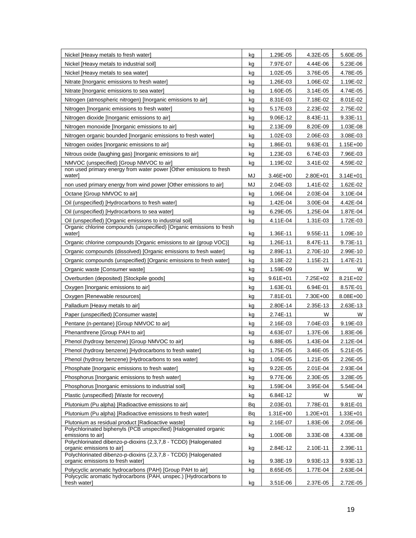| Nickel [Heavy metals to fresh water]                                                                                              | kg | 1.29E-05             | 4.32E-05             | 5.60E-05             |
|-----------------------------------------------------------------------------------------------------------------------------------|----|----------------------|----------------------|----------------------|
| Nickel [Heavy metals to industrial soil]                                                                                          | kg | 7.97E-07             | 4.44E-06             | 5.23E-06             |
| Nickel [Heavy metals to sea water]                                                                                                | kg | 1.02E-05             | 3.76E-05             | 4.78E-05             |
| Nitrate [Inorganic emissions to fresh water]                                                                                      | kg | 1.26E-03             | 1.06E-02             | 1.19E-02             |
| Nitrate [Inorganic emissions to sea water]                                                                                        | kg | 1.60E-05             | 3.14E-05             | 4.74E-05             |
| Nitrogen (atmospheric nitrogen) [Inorganic emissions to air]                                                                      | kg | 8.31E-03             | 7.18E-02             | 8.01E-02             |
| Nitrogen [Inorganic emissions to fresh water]                                                                                     | kg | 5.17E-03             | 2.23E-02             | 2.75E-02             |
| Nitrogen dioxide [Inorganic emissions to air]                                                                                     | kg | 9.06E-12             | 8.43E-11             | 9.33E-11             |
| Nitrogen monoxide [Inorganic emissions to air]                                                                                    | kg | 2.13E-09             | 8.20E-09             | 1.03E-08             |
| Nitrogen organic bounded [Inorganic emissions to fresh water]                                                                     | kg | 1.02E-03             | 2.06E-03             | 3.08E-03             |
| Nitrogen oxides [Inorganic emissions to air]                                                                                      | kg | 1.86E-01             | 9.63E-01             | $1.15E + 00$         |
| Nitrous oxide (laughing gas) [Inorganic emissions to air]                                                                         | kg | 1.23E-03             | 6.74E-03             | 7.96E-03             |
| NMVOC (unspecified) [Group NMVOC to air]                                                                                          | kg | 1.19E-02             | 3.41E-02             | 4.59E-02             |
| non used primary energy from water power [Other emissions to fresh<br>water]                                                      | MJ | 3.46E+00             | $2.80E + 01$         | $3.14E + 01$         |
| non used primary energy from wind power [Other emissions to air]                                                                  | MJ | 2.04E-03             | 1.41E-02             | 1.62E-02             |
| Octane [Group NMVOC to air]                                                                                                       | kg | 1.06E-04             | 2.03E-04             | 3.10E-04             |
| Oil (unspecified) [Hydrocarbons to fresh water]                                                                                   | kg | 1.42E-04             | 3.00E-04             | 4.42E-04             |
| Oil (unspecified) [Hydrocarbons to sea water]                                                                                     | kg | 6.29E-05             | 1.25E-04             | 1.87E-04             |
| Oil (unspecified) [Organic emissions to industrial soil]                                                                          | kg | 4.11E-04             | 1.31E-03             | 1.72E-03             |
| Organic chlorine compounds (unspecified) [Organic emissions to fresh<br>water]                                                    | kg | 1.36E-11             | 9.55E-11             | 1.09E-10             |
| Organic chlorine compounds [Organic emissions to air (group VOC)]                                                                 | kg | 1.26E-11             | 8.47E-11             | 9.73E-11             |
| Organic compounds (dissolved) [Organic emissions to fresh water]                                                                  | kg | 2.89E-11             | 2.70E-10             | 2.99E-10             |
| Organic compounds (unspecified) [Organic emissions to fresh water]                                                                | kg | 3.18E-22             | 1.15E-21             | 1.47E-21             |
| Organic waste [Consumer waste]                                                                                                    | kg | 1.59E-09             | W                    | W                    |
| Overburden (deposited) [Stockpile goods]                                                                                          | kg | $9.61E + 01$         | 7.25E+02             | $8.21E + 02$         |
| Oxygen [Inorganic emissions to air]                                                                                               | kg | 1.63E-01             | 6.94E-01             | 8.57E-01             |
| Oxygen [Renewable resources]                                                                                                      | kg | 7.81E-01             | 7.30E+00             | 8.08E+00             |
| Palladium [Heavy metals to air]                                                                                                   | kg | 2.80E-14             | 2.35E-13             | 2.63E-13             |
| Paper (unspecified) [Consumer waste]                                                                                              | kg | 2.74E-11             | W                    | W                    |
| Pentane (n-pentane) [Group NMVOC to air]                                                                                          | kg | 2.16E-03             | 7.04E-03             | 9.19E-03             |
| Phenanthrene [Group PAH to air]                                                                                                   | kg | 4.63E-07             | 1.37E-06             | 1.83E-06             |
| Phenol (hydroxy benzene) [Group NMVOC to air]                                                                                     | kg | 6.88E-05             | 1.43E-04             | 2.12E-04             |
| Phenol (hydroxy benzene) [Hydrocarbons to fresh water]                                                                            | kg | 1.75E-05             | 3.46E-05             | 5.21E-05             |
| Phenol (hydroxy benzene) [Hydrocarbons to sea water]                                                                              | kg | 1.05E-05             | 1.21E-05             | 2.26E-05             |
| Phosphate [Inorganic emissions to fresh water]                                                                                    | kg | 9.22E-05             | 2.01E-04             | 2.93E-04             |
| Phosphorus [Inorganic emissions to fresh water]                                                                                   | kg | 9.77E-06             | 2.30E-05             | 3.28E-05             |
| Phosphorus [Inorganic emissions to industrial soil]                                                                               | kg | 1.59E-04             | 3.95E-04             | 5.54E-04             |
| Plastic (unspecified) [Waste for recovery]                                                                                        | kg | 6.84E-12             | W                    | W                    |
| Plutonium (Pu alpha) [Radioactive emissions to air]                                                                               | Bq | 2.03E-01             | 7.78E-01             | 9.81E-01             |
| Plutonium (Pu alpha) [Radioactive emissions to fresh water]                                                                       | Вq | $1.31E + 00$         | $1.20E + 01$         | $1.33E + 01$         |
| Plutonium as residual product [Radioactive waste]                                                                                 | kg | 2.16E-07             | 1.83E-06             | 2.05E-06             |
| Polychlorinated biphenyls (PCB unspecified) [Halogenated organic<br>emissions to air]                                             | kg | 1.00E-08             | 3.33E-08             | 4.33E-08             |
| Polychlorinated dibenzo-p-dioxins (2,3,7,8 - TCDD) [Halogenated                                                                   |    |                      |                      |                      |
| organic emissions to air]<br>Polychlorinated dibenzo-p-dioxins (2,3,7,8 - TCDD) [Halogenated<br>organic emissions to fresh water] | kg | 2.84E-12<br>9.38E-19 | 2.10E-11<br>9.93E-13 | 2.39E-11<br>9.93E-13 |
| Polycyclic aromatic hydrocarbons (PAH) [Group PAH to air]                                                                         | kg | 8.65E-05             | 1.77E-04             | 2.63E-04             |
| Polycyclic aromatic hydrocarbons (PAH, unspec.) [Hydrocarbons to                                                                  | kg |                      |                      |                      |
| fresh water]                                                                                                                      | kg | 3.51E-06             | 2.37E-05             | 2.72E-05             |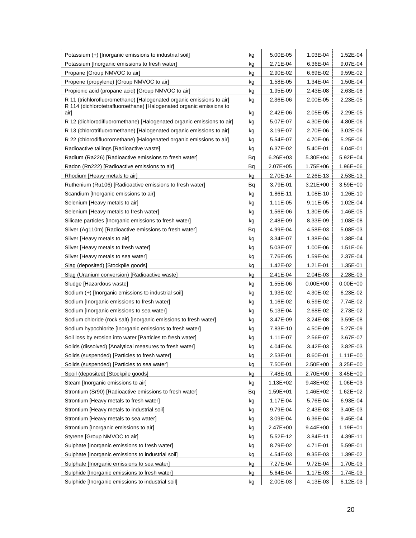| Potassium (+) [Inorganic emissions to industrial soil]                      | kg | 5.00E-05     | 1.03E-04     | 1.52E-04     |
|-----------------------------------------------------------------------------|----|--------------|--------------|--------------|
| Potassium [Inorganic emissions to fresh water]                              | kg | 2.71E-04     | 6.36E-04     | 9.07E-04     |
| Propane [Group NMVOC to air]                                                | kg | 2.90E-02     | 6.69E-02     | 9.59E-02     |
| Propene (propylene) [Group NMVOC to air]                                    | kg | 1.58E-05     | 1.34E-04     | 1.50E-04     |
| Propionic acid (propane acid) [Group NMVOC to air]                          | kg | 1.95E-09     | 2.43E-08     | 2.63E-08     |
| R 11 (trichlorofluoromethane) [Halogenated organic emissions to air]        | kg | 2.36E-06     | 2.00E-05     | 2.23E-05     |
| R 114 (dichlorotetrafluoroethane) [Halogenated organic emissions to<br>airl | kg | 2.42E-06     | 2.05E-05     | 2.29E-05     |
| R 12 (dichlorodifluoromethane) [Halogenated organic emissions to air]       | kg | 5.07E-07     | 4.30E-06     | 4.80E-06     |
| R 13 (chlorotrifluoromethane) [Halogenated organic emissions to air]        | kg | 3.19E-07     | 2.70E-06     | 3.02E-06     |
| R 22 (chlorodifluoromethane) [Halogenated organic emissions to air]         | kg | 5.54E-07     | 4.70E-06     | 5.25E-06     |
| Radioactive tailings [Radioactive waste]                                    | kg | 6.37E-02     | 5.40E-01     | 6.04E-01     |
| Radium (Ra226) [Radioactive emissions to fresh water]                       | Bq | $6.26E + 03$ | $5.30E + 04$ | $5.92E + 04$ |
| Radon (Rn222) [Radioactive emissions to air]                                | Bq | 2.07E+05     | $1.75E + 06$ | $1.96E + 06$ |
| Rhodium [Heavy metals to air]                                               | kg | 2.70E-14     | 2.26E-13     | 2.53E-13     |
| Ruthenium (Ru106) [Radioactive emissions to fresh water]                    | Вq | 3.79E-01     | $3.21E + 00$ | $3.59E + 00$ |
| Scandium [Inorganic emissions to air]                                       | kg | 1.86E-11     | 1.08E-10     | 1.26E-10     |
| Selenium [Heavy metals to air]                                              | kg | 1.11E-05     | 9.11E-05     | 1.02E-04     |
| Selenium [Heavy metals to fresh water]                                      | kg | 1.56E-06     | 1.30E-05     | 1.46E-05     |
| Silicate particles [Inorganic emissions to fresh water]                     | kg | 2.48E-09     | 8.33E-09     | 1.08E-08     |
| Silver (Ag110m) [Radioactive emissions to fresh water]                      | Bq | 4.99E-04     | 4.58E-03     | 5.08E-03     |
| Silver [Heavy metals to air]                                                | kg | 3.34E-07     | 1.38E-04     | 1.38E-04     |
| Silver [Heavy metals to fresh water]                                        | kg | 5.03E-07     | 1.00E-06     | 1.51E-06     |
| Silver [Heavy metals to sea water]                                          | kg | 7.76E-05     | 1.59E-04     | 2.37E-04     |
| Slag (deposited) [Stockpile goods]                                          | kg | 1.42E-02     | 1.21E-01     | 1.35E-01     |
| Slag (Uranium conversion) [Radioactive waste]                               | kg | 2.41E-04     | 2.04E-03     | 2.28E-03     |
| Sludge [Hazardous waste]                                                    | kg | 1.55E-06     | $0.00E + 00$ | $0.00E + 00$ |
| Sodium (+) [Inorganic emissions to industrial soil]                         | kg | 1.93E-02     | 4.30E-02     | 6.23E-02     |
| Sodium [Inorganic emissions to fresh water]                                 | kg | 1.16E-02     | 6.59E-02     | 7.74E-02     |
| Sodium [Inorganic emissions to sea water]                                   | kg | 5.13E-04     | 2.68E-02     | 2.73E-02     |
| Sodium chloride (rock salt) [Inorganic emissions to fresh water]            | kg | 3.47E-09     | 3.24E-08     | 3.59E-08     |
| Sodium hypochlorite [Inorganic emissions to fresh water]                    | kg | 7.83E-10     | 4.50E-09     | 5.27E-09     |
| Soil loss by erosion into water [Particles to fresh water]                  | kg | 1.11E-07     | 2.56E-07     | 3.67E-07     |
| Solids (dissolved) [Analytical measures to fresh water]                     | kg | 4.04E-04     | 3.42E-03     | 3.82E-03     |
| Solids (suspended) [Particles to fresh water]                               | kg | 2.53E-01     | 8.60E-01     | 1.11E+00     |
| Solids (suspended) [Particles to sea water]                                 | kg | 7.50E-01     | 2.50E+00     | $3.25E + 00$ |
| Spoil (deposited) [Stockpile goods]                                         | kg | 7.48E-01     | 2.70E+00     | 3.45E+00     |
| Steam [Inorganic emissions to air]                                          | kg | $1.13E + 02$ | $9.48E + 02$ | $1.06E + 03$ |
| Strontium (Sr90) [Radioactive emissions to fresh water]                     | Вq | 1.59E+01     | 1.46E+02     | $1.62E + 02$ |
| Strontium [Heavy metals to fresh water]                                     | kg | 1.17E-04     | 5.76E-04     | 6.93E-04     |
| Strontium [Heavy metals to industrial soil]                                 | kg | 9.79E-04     | 2.43E-03     | 3.40E-03     |
| Strontium [Heavy metals to sea water]                                       | kg | 3.09E-04     | 6.36E-04     | 9.45E-04     |
| Strontium [Inorganic emissions to air]                                      | kg | $2.47E + 00$ | $9.44E + 00$ | $1.19E + 01$ |
| Styrene [Group NMVOC to air]                                                | kg | 5.52E-12     | 3.84E-11     | 4.39E-11     |
| Sulphate [Inorganic emissions to fresh water]                               | kg | 8.79E-02     | 4.71E-01     | 5.59E-01     |
| Sulphate [Inorganic emissions to industrial soil]                           | kg | 4.54E-03     | 9.35E-03     | 1.39E-02     |
| Sulphate [Inorganic emissions to sea water]                                 | kg | 7.27E-04     | 9.72E-04     | 1.70E-03     |
| Sulphide [Inorganic emissions to fresh water]                               | kg | 5.64E-04     | 1.17E-03     | 1.74E-03     |
| Sulphide [Inorganic emissions to industrial soil]                           | kg | 2.00E-03     | 4.13E-03     | 6.12E-03     |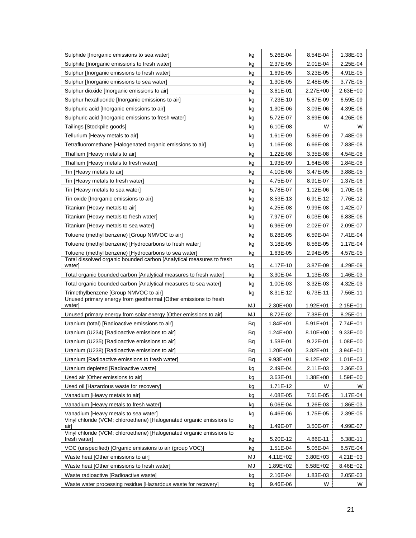| Sulphide [Inorganic emissions to sea water]                                                                  | kg | 5.26E-04     | 8.54E-04     | 1.38E-03     |
|--------------------------------------------------------------------------------------------------------------|----|--------------|--------------|--------------|
| Sulphite [Inorganic emissions to fresh water]                                                                | kg | 2.37E-05     | 2.01E-04     | 2.25E-04     |
| Sulphur [Inorganic emissions to fresh water]                                                                 | kg | 1.69E-05     | 3.23E-05     | 4.91E-05     |
| Sulphur [Inorganic emissions to sea water]                                                                   | kg | 1.30E-05     | 2.48E-05     | 3.77E-05     |
| Sulphur dioxide [Inorganic emissions to air]                                                                 | kg | 3.61E-01     | $2.27E + 00$ | 2.63E+00     |
| Sulphur hexafluoride [Inorganic emissions to air]                                                            | kg | 7.23E-10     | 5.87E-09     | 6.59E-09     |
| Sulphuric acid [Inorganic emissions to air]                                                                  | kg | 1.30E-06     | 3.09E-06     | 4.39E-06     |
| Sulphuric acid [Inorganic emissions to fresh water]                                                          | kg | 5.72E-07     | 3.69E-06     | 4.26E-06     |
| Tailings [Stockpile goods]                                                                                   | kg | 6.10E-08     | W            | W            |
| Tellurium [Heavy metals to air]                                                                              | kg | 1.61E-09     | 5.86E-09     | 7.48E-09     |
| Tetrafluoromethane [Halogenated organic emissions to air]                                                    | kg | 1.16E-08     | 6.66E-08     | 7.83E-08     |
| Thallium [Heavy metals to air]                                                                               | kg | 1.22E-08     | 3.35E-08     | 4.54E-08     |
| Thallium [Heavy metals to fresh water]                                                                       | kg | 1.93E-09     | 1.64E-08     | 1.84E-08     |
| Tin [Heavy metals to air]                                                                                    | kg | 4.10E-06     | 3.47E-05     | 3.88E-05     |
| Tin [Heavy metals to fresh water]                                                                            | kg | 4.75E-07     | 8.91E-07     | 1.37E-06     |
| Tin [Heavy metals to sea water]                                                                              | kg | 5.78E-07     | 1.12E-06     | 1.70E-06     |
| Tin oxide [Inorganic emissions to air]                                                                       | kg | 8.53E-13     | 6.91E-12     | 7.76E-12     |
| Titanium [Heavy metals to air]                                                                               | kg | 4.25E-08     | 9.99E-08     | 1.42E-07     |
| Titanium [Heavy metals to fresh water]                                                                       | kg | 7.97E-07     | 6.03E-06     | 6.83E-06     |
| Titanium [Heavy metals to sea water]                                                                         | kg | 6.96E-09     | 2.02E-07     | 2.09E-07     |
| Toluene (methyl benzene) [Group NMVOC to air]                                                                | kg | 8.28E-05     | 6.59E-04     | 7.41E-04     |
| Toluene (methyl benzene) [Hydrocarbons to fresh water]                                                       | kg | 3.18E-05     | 8.56E-05     | 1.17E-04     |
| Toluene (methyl benzene) [Hydrocarbons to sea water]                                                         | kg | 1.63E-05     | 2.94E-05     | 4.57E-05     |
| Total dissolved organic bounded carbon [Analytical measures to fresh                                         |    |              |              |              |
| water]                                                                                                       | kg | 4.17E-10     | 3.87E-09     | 4.29E-09     |
| Total organic bounded carbon [Analytical measures to fresh water]                                            | kg | 3.30E-04     | 1.13E-03     | 1.46E-03     |
| Total organic bounded carbon [Analytical measures to sea water]                                              | kg | 1.00E-03     | 3.32E-03     | 4.32E-03     |
| Trimethylbenzene [Group NMVOC to air]                                                                        | kg | 8.31E-12     | 6.73E-11     | 7.56E-11     |
| Unused primary energy from geothermal [Other emissions to fresh<br>water]                                    | MJ | 2.30E+00     | $1.92E + 01$ | $2.15E + 01$ |
| Unused primary energy from solar energy [Other emissions to air]                                             | MJ | 8.72E-02     | 7.38E-01     | 8.25E-01     |
| Uranium (total) [Radioactive emissions to air]                                                               | Вq | $1.84E + 01$ | $5.91E + 01$ | 7.74E+01     |
| Uranium (U234) [Radioactive emissions to air]                                                                | Вq | $1.24E + 00$ | 8.10E+00     | $9.33E + 00$ |
| Uranium (U235) [Radioactive emissions to air]                                                                | Вq | 1.58E-01     | 9.22E-01     | $1.08E + 00$ |
| Uranium (U238) [Radioactive emissions to air]                                                                | Bq | $1.20E + 00$ | $3.82E + 01$ | $3.94E + 01$ |
| Uranium [Radioactive emissions to fresh water]                                                               | Вq | $9.93E + 01$ | $9.12E + 02$ | $1.01E + 03$ |
| Uranium depleted [Radioactive waste]                                                                         | kg | 2.49E-04     | $2.11E - 03$ | 2.36E-03     |
| Used air [Other emissions to air]                                                                            | kg | 3.63E-01     | 1.38E+00     | 1.59E+00     |
| Used oil [Hazardous waste for recovery]                                                                      | kg | 1.71E-12     | W            | W            |
| Vanadium [Heavy metals to air]                                                                               | kg | 4.08E-05     | 7.61E-05     | 1.17E-04     |
| Vanadium [Heavy metals to fresh water]                                                                       | kg | 6.06E-04     | 1.26E-03     | 1.86E-03     |
|                                                                                                              |    | 6.46E-06     | 1.75E-05     |              |
| Vanadium [Heavy metals to sea water]<br>Vinyl chloride (VCM; chloroethene) [Halogenated organic emissions to | kg |              |              | 2.39E-05     |
| airi                                                                                                         | kg | 1.49E-07     | 3.50E-07     | 4.99E-07     |
| Vinyl chloride (VCM; chloroethene) [Halogenated organic emissions to<br>fresh water]                         | kg | 5.20E-12     | 4.86E-11     | 5.38E-11     |
| VOC (unspecified) [Organic emissions to air (group VOC)]                                                     | kg | 1.51E-04     | 5.06E-04     | 6.57E-04     |
| Waste heat [Other emissions to air]                                                                          | MJ | 4.11E+02     | 3.80E+03     | 4.21E+03     |
| Waste heat [Other emissions to fresh water]                                                                  | MJ | 1.89E+02     | $6.58E + 02$ | 8.46E+02     |
| Waste radioactive [Radioactive waste]                                                                        | kg | 2.16E-04     | 1.83E-03     | 2.05E-03     |
| Waste water processing residue [Hazardous waste for recovery]                                                | kg | 9.46E-06     | W            | W            |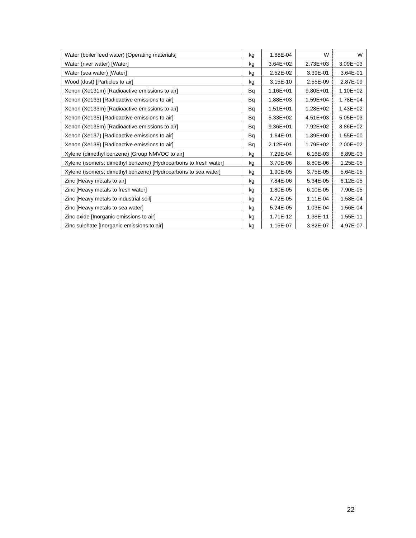| Water (boiler feed water) [Operating materials]                  | ka | 1.88E-04     | W            | W            |
|------------------------------------------------------------------|----|--------------|--------------|--------------|
| Water (river water) [Water]                                      | kg | $3.64E + 02$ | $2.73E + 03$ | $3.09E + 03$ |
| Water (sea water) [Water]                                        | kg | 2.52E-02     | 3.39E-01     | 3.64E-01     |
| Wood (dust) [Particles to air]                                   | kg | 3.15E-10     | 2.55E-09     | 2.87E-09     |
| Xenon (Xe131m) [Radioactive emissions to air]                    | Bq | 1.16E+01     | $9.80E + 01$ | 1.10E+02     |
| Xenon (Xe133) [Radioactive emissions to air]                     | Bq | 1.88E+03     | $1.59E + 04$ | $1.78E + 04$ |
| Xenon (Xe133m) [Radioactive emissions to air]                    | Bq | $1.51E + 01$ | $1.28E + 02$ | 1.43E+02     |
| Xenon (Xe135) [Radioactive emissions to air]                     | Bq | $5.33E + 02$ | $4.51E + 03$ | $5.05E + 03$ |
| Xenon (Xe135m) [Radioactive emissions to air]                    | Bq | $9.36E + 01$ | 7.92E+02     | 8.86E+02     |
| Xenon (Xe137) [Radioactive emissions to air]                     | Bq | 1.64E-01     | $1.39E + 00$ | $1.55E + 00$ |
| Xenon (Xe138) [Radioactive emissions to air]                     | Bq | $2.12E + 01$ | $1.79E + 02$ | $2.00E + 02$ |
| Xylene (dimethyl benzene) [Group NMVOC to air]                   | kg | 7.29E-04     | 6.16E-03     | 6.89E-03     |
| Xylene (isomers; dimethyl benzene) [Hydrocarbons to fresh water] | kg | 3.70E-06     | 8.80E-06     | 1.25E-05     |
| Xylene (isomers; dimethyl benzene) [Hydrocarbons to sea water]   | kg | 1.90E-05     | 3.75E-05     | 5.64E-05     |
| Zinc [Heavy metals to air]                                       | kg | 7.84E-06     | 5.34E-05     | 6.12E-05     |
| Zinc [Heavy metals to fresh water]                               | kg | 1.80E-05     | 6.10E-05     | 7.90E-05     |
| Zinc [Heavy metals to industrial soil]                           | kg | 4.72E-05     | 1.11E-04     | 1.58E-04     |
| Zinc [Heavy metals to sea water]                                 | kg | 5.24E-05     | 1.03E-04     | 1.56E-04     |
| Zinc oxide [Inorganic emissions to air]                          | kg | 1.71E-12     | 1.38E-11     | 1.55E-11     |
| Zinc sulphate [Inorganic emissions to air]                       | kg | 1.15E-07     | 3.82E-07     | 4.97E-07     |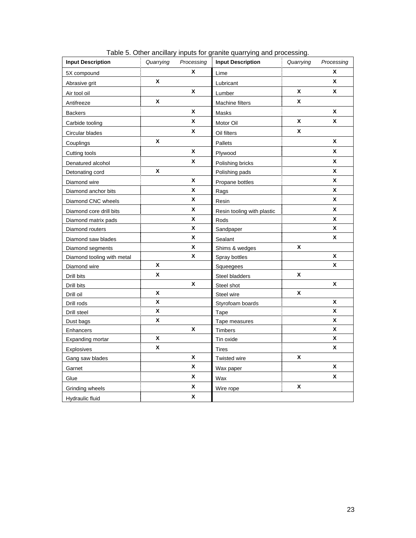<span id="page-25-1"></span><span id="page-25-0"></span>

| <b>Input Description</b>   | Quarrying | Processing   | <b>Input Description</b>   | Quarrying | Processing       |
|----------------------------|-----------|--------------|----------------------------|-----------|------------------|
| 5X compound                |           | X            | Lime                       |           | X                |
| Abrasive grit              | X         |              | Lubricant                  |           | X                |
| Air tool oil               |           | X            | Lumber                     | X         | X                |
| Antifreeze                 | X         |              | <b>Machine filters</b>     | X         |                  |
| <b>Backers</b>             |           | X            | Masks                      |           | X                |
| Carbide tooling            |           | X            | Motor Oil                  | X         | X                |
| Circular blades            |           | X            | Oil filters                | X         |                  |
| Couplings                  | X         |              | Pallets                    |           | X                |
| Cutting tools              |           | X            | Plywood                    |           | X                |
| Denatured alcohol          |           | X            | Polishing bricks           |           | X                |
| Detonating cord            | X         |              | Polishing pads             |           | X                |
| Diamond wire               |           | X            | Propane bottles            |           | X                |
| Diamond anchor bits        |           | X            | Rags                       |           | X                |
| Diamond CNC wheels         |           | X            | Resin                      |           | X                |
| Diamond core drill bits    |           | X            | Resin tooling with plastic |           | $\boldsymbol{x}$ |
| Diamond matrix pads        |           | X            | Rods                       |           | X                |
| Diamond routers            |           | $\mathsf{x}$ | Sandpaper                  |           | X                |
| Diamond saw blades         |           | X            | Sealant                    |           | X                |
| Diamond segments           |           | X            | Shims & wedges             | X         |                  |
| Diamond tooling with metal |           | X            | Spray bottles              |           | X                |
| Diamond wire               | χ         |              | Squeegees                  |           | X                |
| Drill bits                 | X         |              | Steel bladders             | X         |                  |
| Drill bits                 |           | X            | Steel shot                 |           | X                |
| Drill oil                  | X         |              | Steel wire                 | X         |                  |
| Drill rods                 | X         |              | Styrofoam boards           |           | X                |
| Drill steel                | χ         |              | Tape                       |           | X                |
| Dust bags                  | X         |              | Tape measures              |           | X                |
| Enhancers                  |           | X            | Timbers                    |           | X                |
| Expanding mortar           | X         |              | Tin oxide                  |           | X                |
| Explosives                 | X         |              | <b>Tires</b>               |           | X                |
| Gang saw blades            |           | X            | Twisted wire               | X         |                  |
| Garnet                     |           | X            | Wax paper                  |           | X                |
| Glue                       |           | X            | Wax                        |           | X                |
| Grinding wheels            |           | X            | Wire rope                  | X         |                  |
| Hydraulic fluid            |           | X            |                            |           |                  |

Table 5. Other ancillary inputs for granite quarrying and processing.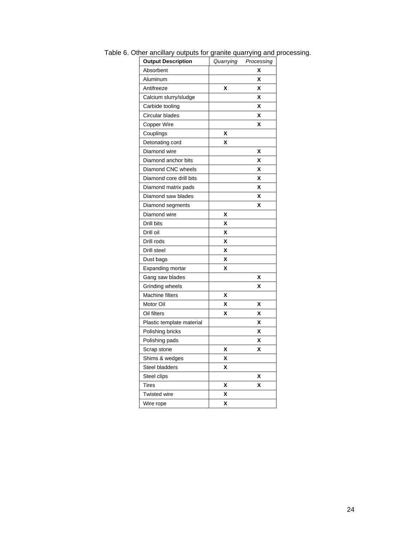| <b>Output Description</b> | Quarrying | Processing |
|---------------------------|-----------|------------|
| Absorbent                 |           | X          |
| Aluminum                  |           | χ          |
| Antifreeze                | X         | χ          |
| Calcium slurry/sludge     |           | χ          |
| Carbide tooling           |           | X          |
| Circular blades           |           | X          |
| Copper Wire               |           | x          |
| Couplings                 | X         |            |
| Detonating cord           | X         |            |
| Diamond wire              |           | x          |
| Diamond anchor bits       |           | χ          |
| Diamond CNC wheels        |           | X          |
| Diamond core drill bits   |           | X          |
| Diamond matrix pads       |           | X          |
| Diamond saw blades        |           | χ          |
| Diamond segments          |           | χ          |
| Diamond wire              | χ         |            |
| Drill bits                | χ         |            |
| Drill oil                 | χ         |            |
| Drill rods                | χ         |            |
| Drill steel               | X         |            |
| Dust bags                 | χ         |            |
| Expanding mortar          | X         |            |
| Gang saw blades           |           | x          |
| Grinding wheels           |           | χ          |
| Machine filters           | χ         |            |
| Motor Oil                 | χ         | X          |
| Oil filters               | X         | X          |
| Plastic template material |           | χ          |
| Polishing bricks          |           | χ          |
| Polishing pads            |           | X          |
| Scrap stone               | χ         | χ          |
| Shims & wedges            | χ         |            |
| Steel bladders            | χ         |            |
| Steel clips               |           | X          |
| <b>Tires</b>              | x         | x          |
| Twisted wire              | χ         |            |
| Wire rope                 | X         |            |

<span id="page-26-1"></span><span id="page-26-0"></span>Table 6. Other ancillary outputs for granite quarrying and processing.